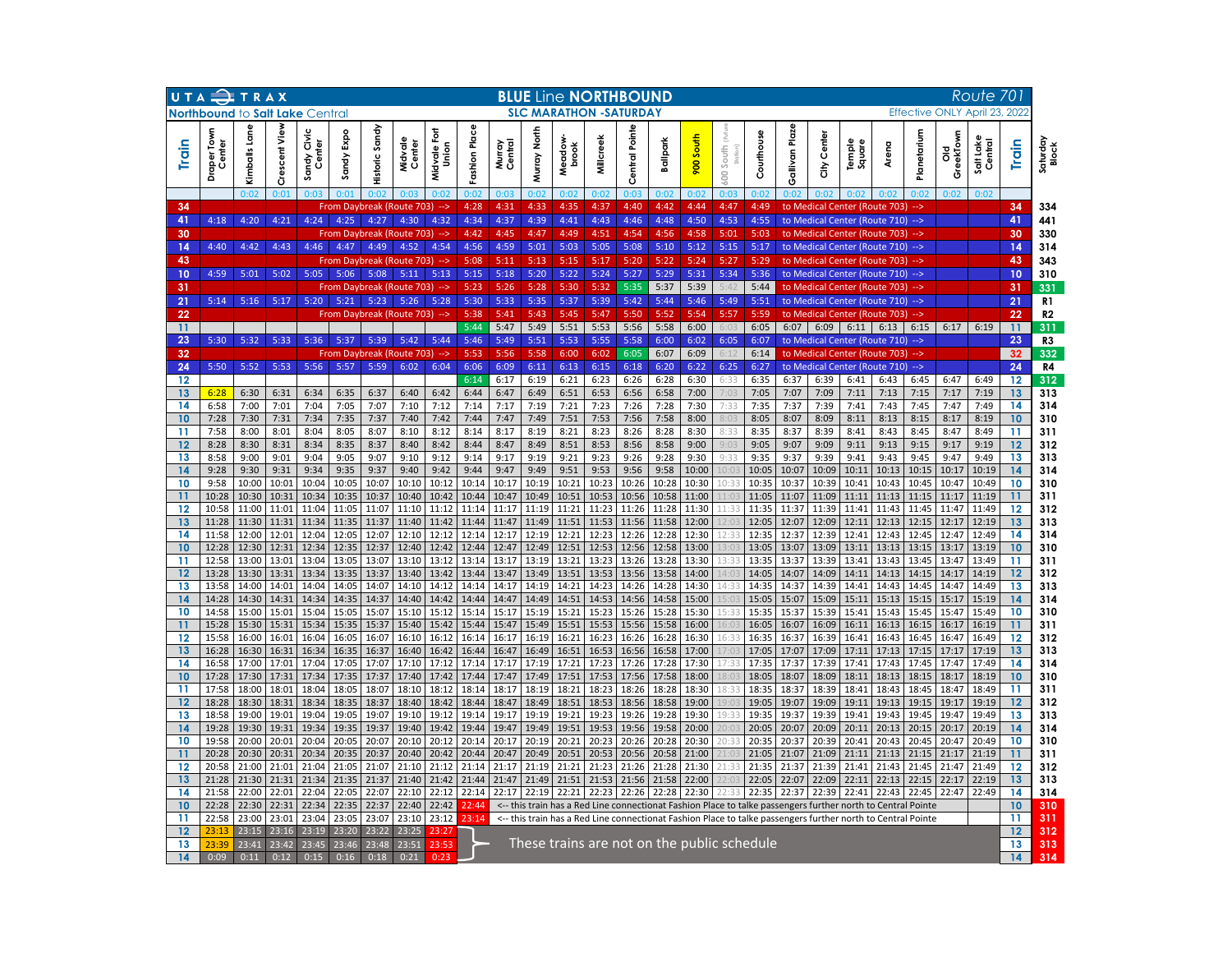|          | UTA TRAX                               |                |                |                              | <b>BLUE Line NORTHBOUND</b><br>Route 701 |                |                   |                       |                |                   |                |                 |                |                                |                |                |                          |                                             |                |                |                                                                                                                       |                |                |                |                               |          |                   |
|----------|----------------------------------------|----------------|----------------|------------------------------|------------------------------------------|----------------|-------------------|-----------------------|----------------|-------------------|----------------|-----------------|----------------|--------------------------------|----------------|----------------|--------------------------|---------------------------------------------|----------------|----------------|-----------------------------------------------------------------------------------------------------------------------|----------------|----------------|----------------|-------------------------------|----------|-------------------|
|          | <b>Northbound to Salt Lake Central</b> |                |                |                              |                                          |                |                   |                       |                |                   |                |                 |                | <b>SLC MARATHON - SATURDAY</b> |                |                |                          |                                             |                |                |                                                                                                                       |                |                |                | Effective ONLY April 23, 2022 |          |                   |
| Train    | <b>Draper Tov</b><br>Center            | Kimballs Lane  | Crescent View  | ndy Civic<br>Center<br>Sandy | Sandy Expo                               | Historic Sandy | Midvale<br>Center | Midvale Fort<br>Union | Fashion Place  | Murray<br>Central | Muray North    | Meadow<br>brook | Millcreek      | Central Pointe                 | Ballpark       | South<br>800   | South<br>$\frac{1}{2}00$ | Couthouse                                   | Gallivan Plaze | Center<br>좋    | Temple<br>Square                                                                                                      | Arena          | anetariu       | GreekTown<br>공 | Salt Lake<br>Central          | Train    | Saturday<br>Block |
|          |                                        | 0:02           | 0:01           | 0.03                         | 0:01                                     | 0.02           | 0.03              | 0.02                  | 0:02           | 0:03              | 0:02           | 0:02            | 0:02           | 0:03                           | 0:02           | 0:02           | 0:03                     | 0:02                                        |                |                | 0.02                                                                                                                  | 0.02           | 0:02           | 0:02           | 0:02                          |          |                   |
| 34<br>41 | 4:18                                   | 4:20           | 4:21           | 4:24                         | From Daybreak (Route 703)<br>4:25        | 4:27           | 4:30              | --><br>4:32           | 4:28<br>4:34   | 4:31<br>4:37      | 4:33<br>4:39   | 4:35<br>4:41    | 4:37<br>4:43   | 4:40<br>4:46                   | 4:42<br>4:48   | 4:44<br>4:50   | 4:47<br>4:53             | 4:49<br>4:55                                |                |                | to Medical Center (Route 703)<br>to Medical Center (Route 710)                                                        |                | -->            |                |                               | 34<br>41 | 334<br>441        |
| 30       |                                        |                |                |                              | From Daybreak (Route 703)                |                |                   | -->                   | 4:42           | 4:45              | 4:47           | 4:49            | 4:51           | 4:54                           | 4:56           | 4:58           | 5:01                     | 5:03                                        |                |                | to Medical Center (Route 703)                                                                                         |                | 45             |                |                               | 30       | 330               |
| 14       | 4:40                                   | 4:42           | 4:43           | 4:46                         | 4:47                                     | 4:49           | 4:52              | 4:54                  | 4:56           | 4:59              | 5:01           | 5:03            | 5:05           | 5:08                           | 5:10           | 5:12           | 5:15                     | 5:17                                        |                |                | to Medical Center (Route 710)                                                                                         |                | $\rightarrow$  |                |                               | 14       | 314               |
| 43       |                                        |                |                |                              | From Daybreak (Route 703)                |                |                   | -->                   | 5:08           | 5:11              | 5:13           | 5:15            | 5:17           | 5:20                           | 5:22           | 5:24           | 5:27                     | 5:29                                        |                |                | to Medical Center (Route 703)                                                                                         |                |                |                |                               | 43       | 343               |
| 10<br>31 | 4:59                                   | 5:01           | 5:02           | 5:05                         | 5:06                                     | 5:08           | $5:11$ $5:13$     |                       | 5:15<br>5:23   | 5:18<br>5:26      | 5:20<br>5:28   | 5:22<br>5:30    | 5:24           | 5:27<br>5:35                   | 5:29<br>5:37   | 5:31           | 5:34<br>5.47             | 5:36<br>5:44                                |                |                | to Medical Center (Route 710)                                                                                         |                | $\rightarrow$  |                |                               | 10       | 310               |
| 21       | 5:14                                   | 5:16           | 5:17           | 5:20                         | From Daybreak (Route 703)<br>5:21        | $5:23$ 5:26    |                   | $\rightarrow$<br>5:28 | 5:30           | 5:33              | 5:35           | 5:37            | 5:32<br>5:39   | 5:42                           | 5:44           | 5:39<br>5:46   | 5:49                     | 5:51                                        |                |                | to Medical Center (Route 703)<br>to Medical Center (Route 710)                                                        |                | $\rightarrow$  |                |                               | 31<br>21 | 331<br>R1         |
| 22       |                                        |                |                |                              | From Daybreak (Route 703)                |                |                   | $\rightarrow$         | 5:38           | 5:41              | 5:43           | 5:45            | 5:47           | 5:50                           | 5:52           | 5:54           | 5:57                     | 5:59                                        |                |                | to Medical Center (Route 703)                                                                                         |                | -- >           |                |                               | 22       | R2                |
| 11       |                                        |                |                |                              |                                          |                |                   |                       | 5:44           | 5:47              | 5:49           | 5:51            | 5:53           | 5:56                           | 5:58           | 6:00           | 6:03                     | 6:05                                        | 6:07           |                | $6:09$ 6:11 6:13                                                                                                      |                | 6:15           | 6:17           | 6:19                          | 11       | 311               |
| 23       | 5:30                                   | 5:32           | 5:33           | 5:36                         | 5:37                                     | 5:39           | 5:42              | 5:44                  | 5:46           | 5:49              | 5:51           | 5:53            | 5:55           | 5:58                           | 6:00           | 6:02           | 6:05                     | 6:07                                        |                |                | to Medical Center (Route 710)                                                                                         |                | $\rightarrow$  |                |                               | 23       | R3                |
| 32<br>24 | 5:50                                   | 5:52           | 5:53           | 5:56                         | From Daybreak (Route 703)<br>5:57        | 5:59           | 6:02              | --><br>6:04           | 5:53<br>6:06   | 5:56<br>6:09      | 5:58<br>6:11   | 6:00<br>6:13    | 6:02<br>6:15   | 6:05<br>6:18                   | 6:07<br>6:20   | 6:09<br>6:22   | 6:12<br>6:25             | 6:14<br>6:27                                |                |                | to Medical Center (Route 703)<br>to Medical Center (Route 710)                                                        |                | -->            |                |                               | 32<br>24 | 332<br>R4         |
| 12       |                                        |                |                |                              |                                          |                |                   |                       | 6:14           | 6:17              | 6:19           | 6:21            | 6:23           | 6:26                           | 6:28           | 6:30           | 6:33                     | 6:35                                        | 6:37           | 6:39           | 6:41                                                                                                                  | 6:43           | 6:45           | 6:47           | 6:49                          | 12       | 312               |
| 13       | 6:28                                   | 6:30           | 6:31           | 6:34                         | 6:35                                     | 6:37           | 6:40              | 6:42                  | 6:44           | 6:47              | 6:49           | 6:51            | 6:53           | 6:56                           | 6:58           | 7:00           | 7:03                     | 7:05                                        | 7:07           | 7:09           | 7:11                                                                                                                  | 7:13           | 7:15           | 7:17           | 7:19                          | 13       | 313               |
| 14       | 6:58                                   | 7:00           | 7:01           | 7:04                         | 7:05                                     | 7:07           | 7:10              | 7:12                  | 7:14           | 7:17              | 7:19           | 7:21            | 7:23           | 7:26                           | 7:28           | 7:30           | 7:33                     | 7:35                                        | 7:37           | 7:39           | 7:41                                                                                                                  | 7:43           | 7:45           | 7:47           | 7:49                          | 14       | 314               |
| 10<br>11 | 7:28<br>7:58                           | 7:30<br>8:00   | 7:31<br>8:01   | 7:34<br>8:04                 | 7:35<br>8:05                             | 7:37<br>8:07   | 7:40<br>8:10      | 7:42<br>8:12          | 7:44<br>8:14   | 7:47<br>8:17      | 7:49<br>8:19   | 7:51<br>8:21    | 7:53<br>8:23   | 7:56<br>8:26                   | 7:58<br>8:28   | 8:00<br>8:30   | 8:03<br>8:33             | 8:05<br>8:35                                | 8:07<br>8:37   | 8:09<br>8:39   | 8:11<br>8:41                                                                                                          | 8:13<br>8:43   | 8:15<br>8:45   | 8:17<br>8:47   | 8:19<br>8:49                  | 10<br>11 | 310<br>311        |
| 12       | 8:28                                   | 8:30           | 8:31           | 8:34                         | 8:35                                     | 8:37           | 8:40              | 8:42                  | 8:44           | 8:47              | 8:49           | 8:51            | 8:53           | 8:56                           | 8:58           | 9:00           | 9:03                     | 9:05                                        | 9:07           | 9:09           | 9:11                                                                                                                  | 9:13           | 9:15           | 9:17           | 9:19                          | 12       | 312               |
| 13       | 8:58                                   | 9:00           | 9:01           | 9:04                         | 9:05                                     | 9:07           | 9:10              | 9:12                  | 9:14           | 9:17              | 9:19           | 9:21            | 9:23           | 9:26                           | 9:28           | 9:30           | 9:33                     | 9:35                                        | 9:37           | 9:39           | 9:41                                                                                                                  | 9:43           | 9:45           | 9:47           | 9:49                          | 13       | 313               |
| 14       | 9:28                                   | 9:30           | 9:31           | 9:34                         | 9:35                                     | 9:37           | 9:40              | 9:42                  | 9:44           | 9:47              | 9:49           | 9:51            | 9:53           | 9:56                           | 9:58           | 10:00          | 10:03                    | 10:05                                       | 10:07          | 10:09          | 10:11                                                                                                                 | 10:13          | 10:15          | 10:17          | 10:19                         | 14       | 314               |
| 10<br>11 | 9:58<br>10:28                          | 10:00<br>10:30 | 10:01<br>10:31 | 10:04<br>10:34               | 10:05<br>10:35                           | 10:07<br>10:37 | 10:10<br>10:40    | 10:12<br>10:42        | 10:14<br>10:44 | 10:17<br>10:47    | 10:19<br>10:49 | 10:21<br>10:51  | 10:23<br>10:53 | 10:26<br>10:56                 | 10:28<br>10:58 | 10:30<br>11:00 | 10:33                    | 10:35<br>11:05                              | 10:37<br>11:07 | 10:39<br>11:09 | 10:41<br>11:11                                                                                                        | 10:43<br>11:13 | 10:45<br>11:15 | 10:47<br>11:17 | 10:49<br>11:19                | 10       | 310<br>311        |
| 12       | 10:58                                  | 11:00          | 11:01          | 11:04                        | 11:05                                    | 11:07          | 11:10             | 11:12                 | 11:14          | 11:17             | 11:19          | 11:21           | 11:23          | 11:26                          | 11:28          | 11:30          | 11:33                    | 11:35                                       | 11:37          | 11:39          | 11:41                                                                                                                 | 11:43          | 11:45          | 11:47          | 11:49                         | 12       | 312               |
| 13       | 11:28                                  | 11:30          | 11:31          | 11:34                        | 11:35                                    | 11:37          | 11:40             | 11:42                 | 11:44          | 11:47             | 11:49          | 11:51           | 11:53          | 11:56                          | 11:58          | 12:00          |                          | 12:05                                       | 12:07          | 12:09          | 12:11                                                                                                                 | 12:13          | 12:15          | 12:17          | 12:19                         | 13       | 313               |
| 14       | 11:58                                  | 12:00          | 12:01          | 12:04                        | 12:05                                    | 12:07          | 12:10             | 12:12                 | 12:14          | 12:17             | 12:19          | 12:21           | 12:23          | 12:26                          | 12:28          | 12:30          | 12:33                    | 12:35                                       | 12:37          | 12:39          | 12:41                                                                                                                 | 12:43          | 12:45          | 12:47          | 12:49                         | 14       | 314               |
| 10<br>11 | 12:28<br>12:58                         | 12:30<br>13:00 | 12:31<br>13:01 | 12:34<br>13:04               | 12:35<br>13:05                           | 12:37<br>13:07 | 12:40<br>13:10    | 12:42<br>13:12        | 12:44<br>13:14 | 12:47<br>13:17    | 12:49<br>13:19 | 12:51<br>13:21  | 12:53<br>13:23 | 12:56<br>13:26                 | 12:58<br>13:28 | 13:00<br>13:30 | 13:03<br>13:33           | 13:05<br>13:35                              | 13:07<br>13:37 | 13:09<br>13:39 | 13:11<br>13:41                                                                                                        | 13:13<br>13:43 | 13:15<br>13:45 | 13:17<br>13:47 | 13:19<br>13:49                | 10<br>11 | 310<br>311        |
| 12       | 13:28                                  | 13:30          | 13:31          | 13:34                        | 13:35                                    | 13:37          | 13:40             | 13:42                 | 13:44          | 13:47             | 13:49          | 13:51           | 13:53          | 13:56                          | 13:58          | 14:00          | 14:03                    | 14:05                                       | 14:07          | 14:09          | 14:11                                                                                                                 | 14:13          | 14:15          | 14:17          | 14:19                         | 12       | 312               |
| 13       | 13:58                                  | 14:00          | 14:01          | 14:04                        | 14:05                                    | 14:07          | 14:10             | 14:12                 | 14:14          | 14:17             | 14:19          | 14:21           | 14:23          | 14:26                          | 14:28          | 14:30          | 14:33                    | 14:35                                       | 14:37          | 14:39          | 14:41                                                                                                                 | 14:43          | 14:45          | 14:47          | 14:49                         | 13       | 313               |
| 14       | 14:28                                  | 14:30          | 14:31          | 14:34                        | 14:35                                    | 14:37          | 14:40             | 14:42                 | 14:44          | 14:47             | 14:49          | 14:51           | 14:53          | 14:56                          | 14:58          | 15:00          | 15:03                    | 15:05                                       | 15:07          | 15:09          | 15:11                                                                                                                 | 15:13          | 15:15          | 15:17          | 15:19                         | 14       | 314               |
| 10<br>11 | 14:58<br>15:28                         | 15:00<br>15:30 | 15:01<br>15:31 | 15:04<br>15:34               | 15:05<br>15:35                           | 15:07<br>15:37 | 15:10<br>15:40    | 15:12<br>15:42        | 15:14<br>15:44 | 15:17<br>15:47    | 15:19<br>15:49 | 15:21<br>15:51  | 15:23<br>15:53 | 15:26<br>15:56                 | 15:28<br>15:58 | 15:30<br>16:00 | 15:33<br>16:03           | 15:35<br>16:05                              | 15:37<br>16:07 | 15:39<br>16:09 | 15:41<br>16:11                                                                                                        | 15:43<br>16:13 | 15:45<br>16:15 | 15:47<br>16:17 | 15:49<br>16:19                | 10       | 310<br>311        |
| 12       | 15:58                                  | 16:00          | 16:01          | 16:04                        | 16:05                                    | 16:07          | 16:10             | 16:12                 | 16:14          | 16:17             | 16:19          | 16:21           | 16:23          | 16:26                          | 16:28          | 16:30          | 16:33                    | 16:35                                       | 16:37          | 16:39          | 16:41                                                                                                                 | 16:43          | 16:45          | 16:47          | 16:49                         | 12       | 312               |
| 13       | 16:28                                  | 16:30          | 16:31          | 16:34                        | 16:35                                    | 16:37          | 16:40             | 16:42                 | 16:44          | 16:47             | 16:49          | 16:51           | 16:53          | 16:56                          | 16:58          | 17:00          | 17:03                    | 17:05                                       | 17:07          | 17:09          |                                                                                                                       | $17:11$ 17:13  | 17:15          | 17:17          | 17:19                         | 13       | 313               |
| 14<br>10 | 16:58<br>17:28                         | 17:00<br>17:30 | 17:01<br>17:31 | 17:04<br>17:34               | 17:05<br>17:35                           | 17:07<br>17:37 | 17:10<br>17:40    | 17:12<br>17:42        | 17:14<br>17:44 | 17:17<br>17:47    | 17:19<br>17:49 | 17:21<br>17:51  | 17:23<br>17:53 | 17:26<br>17:56                 | 17:28<br>17:58 | 17:30<br>18:00 | 17:33<br>18:05           | 17:35<br>18:05                              | 17:37<br>18:07 | 17:39<br>18:09 | 17:41<br>18:11                                                                                                        | 17:43<br>18:13 | 17:45<br>18:15 | 17:47<br>18:17 | 17:49<br>18:19                | 14<br>10 | 314<br>310        |
| 11       | 17:58                                  | 18:00          | 18:01          | 18:04                        | 18:05                                    | 18:07          | 18:10             | 18:12                 | 18:14          | 18:17             | 18:19          | 18:21           | 18:23          | 18:26                          | 18:28          | 18:30          | 18:33                    | 18:35                                       | 18:37          | 18:39          | 18:41                                                                                                                 | 18:43          | 18:45          | 18:47          | 18:49                         | 11       | 311               |
| 12       | 18:28                                  | 18:30          | 18:31          | 18:34                        | 18:35                                    | 18:37          | 18:40             | 18:42                 | 18:44          | 18:47             | 18:49          | 18:51           | 18:53          | 18:56                          | 18:58          | 19:00          | 19:03                    | 19:05                                       | 19:07          | 19:09          | 19:11                                                                                                                 | 19:13          | 19:15          | 19:17          | 19:19                         | 12       | 312               |
| 13       | 18:58                                  | 19:00          | 19:01          | 19:04                        | 19:05                                    | 19:07          | 19:10             | 19:12                 | 19:14          | 19:17             | 19:19          | 19:21           | 19:23          | 19:26                          | 19:28          | 19:30          | 19:33                    | 19:35                                       | 19:37          | 19:39          | 19:41                                                                                                                 | 19:43          | 19:45          | 19:47          | 19:49                         | 13       | 313               |
| 14<br>10 | 19:28<br>19:58                         | 19:30<br>20:00 | 19:31<br>20:01 | 19:34<br>20:04               | 19:35<br>20:05                           | 19:37<br>20:07 | 19:40<br>20:10    | 19:42<br>20:12        | 19:44<br>20:14 | 19:47<br>20:17    | 19:49<br>20:19 | 19:51<br>20:21  | 19:53<br>20:23 | 19:56<br>20:26                 | 19:58<br>20:28 | 20:00<br>20:30 | 20:33                    | 20:05<br>20:35                              | 20:07<br>20:37 | 20:09<br>20:39 | 20:11<br>20:41                                                                                                        | 20:13<br>20:43 | 20:15<br>20:45 | 20:17<br>20:47 | 20:19<br>20:49                | 14<br>10 | 314<br>310        |
| 11       | 20:28                                  | 20:30          | 20:31          | 20:34                        | 20:35                                    | 20:37          | 20:40             | 20:42                 | 20:44          | 20:47             | 20:49          | 20:51           | 20:53          | 20:56                          | 20:58          | 21:00          |                          | 21:05                                       | 21:07          | 21:09          | 21:11                                                                                                                 | 21:13          | 21:15          | 21:17          | 21:19                         |          | 311               |
| 12       | 20:58                                  | 21:00          | 21:01          | 21:04                        | 21:05                                    | 21:07          | 21:10             | 21:12                 | 21:14          | 21:17             | 21:19          | 21:21           | 21:23          | 21:26                          | 21:28          | 21:30          | 21:33                    | 21:35                                       | 21:37          | 21:39          | 21:41                                                                                                                 | 21:43          | 21:45          | 21:47          | 21:49                         | 12       | 312               |
| 13       | 21:28                                  | 21:30          |                | 21:31 21:34                  | 21:35                                    | 21:37          | 21:40             | 21:42                 | 21:44          | 21:47             | 21:49          | 21:51           | 21:53          | 21:56                          | 21:58          | 22:00          |                          | 22:05                                       | 22:07          | 22:09          | 22:11                                                                                                                 | 22:13          | 22:15          | 22:17          | 22:19                         | 13       | 313               |
| 14<br>10 | 21:58<br>22:28                         | 22:00<br>22:30 | 22:01<br>22:31 | 22:04<br>22:34               | 22:05<br>22:35                           | 22:07<br>22:37 | 22:10<br>22:40    | 22:12<br>22:42        | 22:14<br>22:44 | 22:17             | 22:19          | 22:21           | 22:23          | 22:26                          | 22:28          | 22:30          | 22.33                    | 22:35                                       | 22:37          | 22:39          | 22:41<br><-- this train has a Red Line connectionat Fashion Place to talke passengers further north to Central Pointe | 22:43          | 22:45          | 22:47          | 22:49                         | 14<br>10 | 314<br>310        |
| 11       | 22:58                                  | 23:00          | 23:01          | 23:04                        | 23:05                                    | 23:07          | 23:10             | 23:12                 | 23:14          |                   |                |                 |                |                                |                |                |                          |                                             |                |                | <-- this train has a Red Line connectionat Fashion Place to talke passengers further north to Central Pointe          |                |                |                |                               | 11       | 311               |
| 12       | 23:13                                  | 23:15          | 23:16          | 23:19                        | 23:20                                    | 23:22          | 23:25             | 23:27                 |                |                   |                |                 |                |                                |                |                |                          |                                             |                |                |                                                                                                                       |                |                |                |                               | 12       | 312               |
| 13       | 23:39                                  | 23:41          | 23:42          | 23:45                        | 23:46                                    | 23:48          | 23:51             | 23:53                 |                |                   |                |                 |                |                                |                |                |                          | These trains are not on the public schedule |                |                |                                                                                                                       |                |                |                |                               | 13       | 313               |
| 14       | 0:09                                   | 0:11           | 0:12           | 0:15                         | 0:16                                     | 0:18           | 0:21              | 0:23                  |                |                   |                |                 |                |                                |                |                |                          |                                             |                |                |                                                                                                                       |                |                |                |                               | 14       | 314               |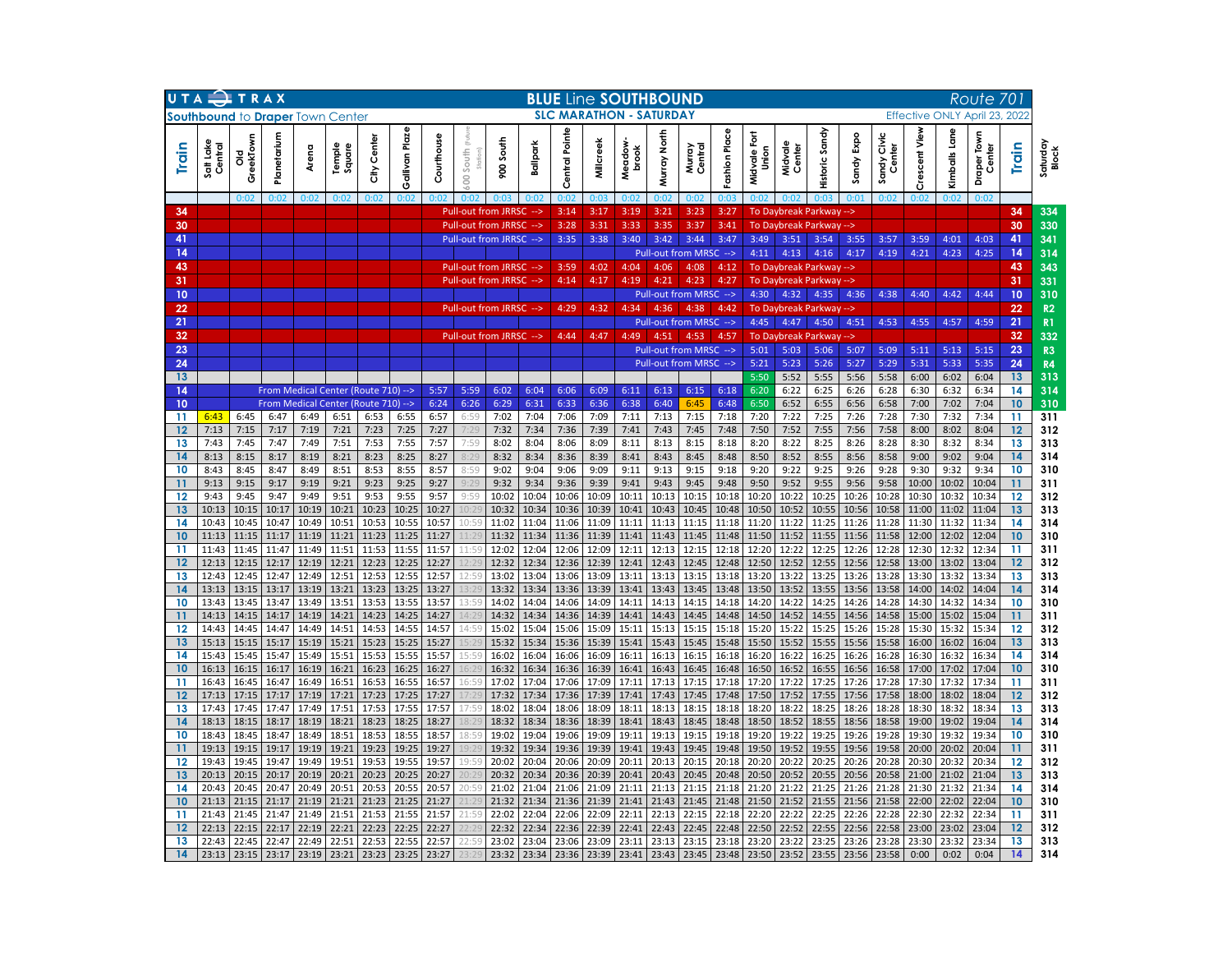|          | UTA TRAX                                |                |                |                |                                     |                | <b>BLUE Line SOUTHBOUND</b> |                |                  |                                                       |                |                |                                |                 |                |                                                  |                |                       |                                    |                   |                |                              |                  | Route 701        |                              |          |                       |
|----------|-----------------------------------------|----------------|----------------|----------------|-------------------------------------|----------------|-----------------------------|----------------|------------------|-------------------------------------------------------|----------------|----------------|--------------------------------|-----------------|----------------|--------------------------------------------------|----------------|-----------------------|------------------------------------|-------------------|----------------|------------------------------|------------------|------------------|------------------------------|----------|-----------------------|
|          | <b>Southbound to Draper Town Center</b> |                |                |                |                                     |                |                             |                |                  |                                                       |                |                | <b>SLC MARATHON - SATURDAY</b> |                 |                |                                                  |                |                       |                                    |                   |                |                              |                  |                  | Effective ONLY April 23,     | 2022     |                       |
| Train    | Lake<br>Central<br>tis<br>S             | GreekTow<br>꽁  | Planetarium    | Arena          | Temple<br>Square                    | Center<br>€    | Gallivan Plaze              | Courthouse     | South<br>g       | 900 South                                             | Ballpark       | Central Pointe | Millcreek                      | Meadow<br>brook | Murray North   | Murray<br>Central                                | Fashion Place  | Midvale Fort<br>Union | Midvale<br>Center                  | Sandy<br>Historic | Expo<br>Sandy  | ndy Civic<br>Center<br>Sandy | escent View<br>ō | Lane<br>Kimballs | <b>Draper Town</b><br>Center | Train    | Saturday<br>Block     |
|          |                                         | 0:02           | 0:02           | 0:02           | 0:02                                | 0:02           | 0:02                        | ∩∙nว           |                  |                                                       |                | 0:02           | 0:03                           | 0:02            | 0:02           | 0:02                                             | 0:0            | 0:02                  |                                    |                   | 0:01           | 0:02                         | 0:02             | 0:02             | 0:02                         |          |                       |
| 34       |                                         |                |                |                |                                     |                |                             |                |                  | <b>Pull-out from JRRSC</b>                            | --><br>-->     | 3:14           | 3:17                           | 3:19            | 3:21           | 3:23                                             | 3:27<br>3:41   |                       | To Daybreak Parkway -->            |                   |                |                              |                  |                  |                              | 34<br>30 | 334                   |
| 30<br>41 |                                         |                |                |                |                                     |                |                             |                |                  | <b>Pull-out from JRRSC</b><br>Pull-out from JRRSC --> |                | 3:28<br>3:35   | 3:31<br>3:38                   | 3:33<br>3:40    | 3:35<br>3:42   | 3:37<br>3:44                                     | 3:47           | 3:49                  | <b>To Daybreak Parkway</b><br>3:51 | 3:54              | --><br>3:55    | 3:57                         | 3:59             | 4:01             | 4:03                         | 41       | 330<br>341            |
| 14       |                                         |                |                |                |                                     |                |                             |                |                  |                                                       |                |                |                                |                 |                | Pull-out from MRSC -->                           |                | 4:11                  | 4:13                               | 4:16              | 4:17           | 4:19                         | 4:21             | 4:23             | 4:25                         | 14       | 314                   |
| 43       |                                         |                |                |                |                                     |                |                             |                |                  | <b>Pull-out from JRRSC</b>                            |                | 3:59           | 4:02                           | 4:04            | 4:06           | 4:08                                             | 4:12           |                       | To Daybreak Parkway                |                   | -->            |                              |                  |                  |                              | 43       | 343                   |
| 31       |                                         |                |                |                |                                     |                |                             |                |                  | <b>Pull-out from JRRSC</b>                            | $\rightarrow$  | 4:14           | 4:17                           | 4:19            | 4:21           | 4:23                                             | 4:27           |                       | <b>To Daybreak Parkway</b>         |                   | -->            |                              |                  |                  |                              | 31       | 331                   |
| 10       |                                         |                |                |                |                                     |                |                             |                |                  |                                                       |                |                |                                |                 |                | Pull-out from MRSC -->                           |                | 4:30                  | 4:32                               | 4:35              | 4:36           | 4:38                         | 4:40             | 4:42             | 4:44                         | 10       | 310                   |
| 22       |                                         |                |                |                |                                     |                |                             |                |                  | <b>Pull-out from JRRSC</b>                            | -->            | 4:29           | 4:32                           | 4:34            | 4:36           | 4:38                                             | 4:42           |                       | To Davbreak Parkway                |                   | ->             |                              |                  |                  |                              | 22       | R2                    |
| 21       |                                         |                |                |                |                                     |                |                             |                |                  |                                                       |                |                |                                |                 |                | Pull-out from MRSC -->                           |                | 4:45                  | 4:47                               | 4:50              | 4:51           | 4:53                         | 4:55             | 4:57             | 4:59                         | 21       | R <sub>1</sub>        |
| 32<br>23 |                                         |                |                |                |                                     |                |                             |                |                  | <b>Pull-out from JRRSC</b>                            | -->            | 4:44           | 4:47                           | 4:49            | 4:51           | 4:53                                             | 4:57           | 5:01                  | <b>To Daybreak Parkway</b><br>5:03 |                   | ->             |                              | 5:11             | 5:13             | 5:15                         | 32<br>23 | 332<br>R <sub>3</sub> |
| 24       |                                         |                |                |                |                                     |                |                             |                |                  |                                                       |                |                |                                |                 |                | Pull-out from MRSC --><br>Pull-out from MRSC --> |                | 5:21                  | 5:23                               | 5:06<br>5:26      | 5:07<br>5:27   | 5:09<br>5:29                 | 5:31             | 5:33             | 5:35                         | 24       | R4                    |
| 13       |                                         |                |                |                |                                     |                |                             |                |                  |                                                       |                |                |                                |                 |                |                                                  |                | 5:50                  | 5:52                               | 5:55              | 5:56           | 5:58                         | 6:00             | 6:02             | 6:04                         | 13       | 313                   |
| 14       |                                         |                |                |                | From Medical Center (Route 710) --> |                |                             | 5:57           | 5:59             | 6:02                                                  | 6:04           | 6:06           | 6:09                           | 6:11            | 6:13           | 6:15                                             | 6:18           | 6:20                  | 6:22                               | 6:25              | 6:26           | 6:28                         | 6:30             | 6:32             | 6:34                         | 14       | 314                   |
| 10       |                                         |                |                |                | From Medical Center (Route 710) --> |                |                             | 6:24           | 6:26             | 6:29                                                  | 6:31           | 6:33           | 6:36                           | 6:38            | 6:40           | 6:45                                             | 6:48           | 6:50                  | 6:52                               | 6:55              | 6:56           | 6:58                         | 7:00             | 7:02             | 7:04                         | 10       | 310                   |
| 11       | 6:43                                    | 6:45           | 6:47           | 6:49           | 6:51                                | 6:53           | 6:55                        | 6:57           | 6:59             | 7:02                                                  | 7:04           | 7:06           | 7:09                           | 7:11            | 7:13           | 7:15                                             | 7:18           | 7:20                  | 7:22                               | 7:25              | 7:26           | 7:28                         | 7:30             | 7:32             | 7:34                         | 11       | 311                   |
| 12       | 7:13                                    | 7:15           | 7:17           | 7:19           | 7:21                                | 7:23           | 7:25                        | 7:27           | 7:29             | 7:32                                                  | 7:34           | 7:36           | 7:39                           | 7:41            | 7:43           | 7:45                                             | 7:48           | 7:50                  | 7:52                               | 7:55              | 7:56           | 7:58                         | 8:00             | 8:02             | 8:04                         | 12       | 312                   |
| 13<br>14 | 7:43<br>8:13                            | 7:45<br>8:15   | 7:47<br>8:17   | 7:49<br>8:19   | 7:51<br>8:21                        | 7:53<br>8:23   | 7:55<br>8:25                | 7:57<br>8:27   | 7:59<br>8:29     | 8:02<br>8:32                                          | 8:04<br>8:34   | 8:06<br>8:36   | 8:09<br>8:39                   | 8:11<br>8:41    | 8:13<br>8:43   | 8:15<br>8:45                                     | 8:18<br>8:48   | 8:20<br>8:50          | 8:22<br>8:52                       | 8:25<br>8:55      | 8:26<br>8:56   | 8:28<br>8:58                 | 8:30<br>9:00     | 8:32<br>9:02     | 8:34<br>9:04                 | 13<br>14 | 313<br>314            |
| 10       | 8:43                                    | 8:45           | 8:47           | 8:49           | 8:51                                | 8:53           | 8:55                        | 8:57           | 8:59             | 9:02                                                  | 9:04           | 9:06           | 9:09                           | 9:11            | 9:13           | 9:15                                             | 9:18           | 9:20                  | 9:22                               | 9:25              | 9:26           | 9:28                         | 9:30             | 9:32             | 9:34                         | 10       | 310                   |
| 11       | 9:13                                    | 9:15           | 9:17           | 9:19           | 9:21                                | 9:23           | 9:25                        | 9:27           | 9:29             | 9:32                                                  | 9:34           | 9:36           | 9:39                           | 9:41            | 9:43           | 9:45                                             | 9:48           | 9:50                  | 9:52                               | 9:55              | 9:56           | 9:58                         | 10:00            | 10:02            | 10:04                        | 11       | 311                   |
| 12       | 9:43                                    | 9:45           | 9:47           | 9:49           | 9:51                                | 9:53           | 9:55                        | 9:57           | 9:59             | 10:02                                                 | 10:04          | 10:06          | 10:09                          | 10:11           | 10:13          | 10:15                                            | 10:18          | 10:20                 | 10:22                              | 10:25             | 10:26          | 10:28                        | 10:30            | 10:32            | 10:34                        | 12       | 312                   |
| 13       | 10:13                                   | 10:15          | 10:17          | 10:19          | 10:21                               | 10:23          | 10:25                       | 10:27          | 10:29            | 10:32                                                 | 10:34          | 10:36          | 10:39                          | 10:41           | 10:43          | 10:45                                            | 10:48          | 10:50                 | 10:52                              | 10:55             | 10:56          | 10:58                        | 11:00            | 11:02            | 11:04                        | 13       | 313                   |
| 14       | 10:43                                   | 10:45          | 10:47          | 10:49          | 10:51                               | 10:53          | 10:55                       | 10:57          | 10:59            | 11:02                                                 | 11:04          | 11:06          | 11:09                          | 11:11           | 11:13          | 11:15                                            | 11:18          | 11:20                 | 11:22                              | 11:25             | 11:26          | 11:28                        | 11:30            | 11:32            | 11:34                        | 14       | 314                   |
| 10<br>11 | 11:13<br>11:43                          | 11:15<br>11:45 | 11:17<br>11:47 | 11:19<br>11:49 | 11:21<br>11:51                      | 11:23<br>11:53 | 11:25<br>11:55              | 11:27<br>11:57 | 11:29<br>11:59   | 11:32<br>12:02                                        | 11:34<br>12:04 | 11:36<br>12:06 | 11:39<br>12:09                 | 11:41<br>12:11  | 11:43<br>12:13 | 11:45<br>12:15                                   | 11:48<br>12:18 | 11:50<br>12:20        | 11:52<br>12:22                     | 11:55<br>12:25    | 11:56<br>12:26 | 11:58<br>12:28               | 12:00<br>12:30   | 12:02<br>12:32   | 12:04<br>12:34               | 10<br>11 | 310<br>311            |
| 12       | 12:13                                   | 12:15          | 12:17          | 12:19          | 12:21                               | 12:23          | 12:25                       | 12:27          | 2:29             | 12:32                                                 | 12:34          | 12:36          | 12:39                          | 12:41           | 12:43          | 12:45                                            | 12:48          | 12:50                 | 12:52                              | 12:55             | 12:56          | 12:58                        | 13:00            | 13:02            | 13:04                        | 12       | 312                   |
| 13       | 12:43                                   | 12:45          | 12:47          | 12:49          | 12:51                               | 12:53          | 12:55                       | 12:57          | 12:59            | 13:02                                                 | 13:04          | 13:06          | 13:09                          | 13:11           | 13:13          | 13:15                                            | 13:18          | 13:20                 | 13:22                              | 13:25             | 13:26          | 13:28                        | 13:30            | 13:32            | 13:34                        | 13       | 313                   |
| 14       | 13:13                                   | 13:15          | 13:17          | 13:19          | 13:21                               | 13:23          | 13:25                       | 13:27          | 3:2 <sup>0</sup> | 13:32                                                 | 13:34          | 13:36          | 13:39                          | 13:41           | 13:43          | 13:45                                            | 13:48          | 13:50                 | 13:52                              | 13:55             | 13:56          | 13:58                        | 14:00            | 14:02            | 14:04                        | 14       | 314                   |
| 10       | 13:43                                   | 13:45          | 13:47          | 13:49          | 13:51                               | 13:53          | 13:55                       | 13:57          | 13:59            | 14:02                                                 | 14:04          | 14:06          | 14:09                          | 14:11           | 14:13          | 14:15                                            | 14:18          | 14:20                 | 14:22                              | 14:25             | 14:26          | 14:28                        | 14:30            | 14:32            | 14:34                        | 10       | 310                   |
| 11<br>12 | 14:13<br>14:43                          | 14:15<br>14:45 | 14:17<br>14:47 | 14:19<br>14:49 | 14:21<br>14:51                      | 14:23<br>14:53 | 14:25<br>14:55              | 14:27<br>14:57 | (4:2)<br>14:59   | 14:32<br>15:02                                        | 14:34<br>15:04 | 14:36<br>15:06 | 14:39<br>15:09                 | 14:41<br>15:11  | 14:43<br>15:13 | 14:45<br>15:15                                   | 14:48<br>15:18 | 14:50<br>15:20        | 14:52<br>15:22                     | 14:55<br>15:25    | 14:56<br>15:26 | 14:58<br>15:28               | 15:00<br>15:30   | 15:02<br>15:32   | 15:04<br>15:34               | 11<br>12 | 311<br>312            |
| 13       | 15:13                                   | 15:15          | 15:17          | 15:19          | 15:21                               | 15:23          | 15:25                       | 15:27          | 5:2              | 15:32                                                 | 15:34          | 15:36          | 15:39                          | 15:41           | 15:43          | 15:45                                            | 15:48          | 15:50                 | 15:52                              | 15:55             | 15:56          | 15:58                        | 16:00            | 16:02            | 16:04                        | 13       | 313                   |
| 14       | 15:43                                   | 15:45          | 15:47          | 15:49          | 15:51                               | 15:53          | 15:55                       | 15:57          | 15:59            | 16:02                                                 | 16:04          | 16:06          | 16:09                          | 16:11           | 16:13          | 16:15                                            | 16:18          | 16:20                 | 16:22                              | 16:25             | 16:26          | 16:28                        | 16:30            | 16:32            | 16:34                        | 14       | 314                   |
| 10       | 16:13                                   | 16:15          | 16:17          | 16:19          | 16:21                               | 16:23          | 16:25                       | 16:27          | 16:2!            | 16:32                                                 | 16:34          | 16:36          | 16:39                          | 16:41           | 16:43          | 16:45                                            | 16:48          | 16:50                 | 16:52                              | 16:55             | 16:56          | 16:58                        | 17:00            | 17:02            | 17:04                        | 10       | 310                   |
| 11       | 16:43                                   | 16:45          | 16:47          | 16:49          | 16:51                               | 16:53          | 16:55                       | 16:57          | 16:59            | 17:02                                                 | 17:04          | 17:06          | 17:09                          | 17:11           | 17:13          | 17:15                                            | 17:18          | 17:20                 | 17:22                              | 17:25             | 17:26          | 17:28                        | 17:30            | 17:32            | 17:34                        | 11       | 311                   |
| 12       | 17:13                                   | 17:15          | 17:17          | 17:19          | 17:21                               | 17:23          | 17:25                       | 17:27          | 7:2              | 17:32                                                 | 17:34          | 17:36          | 17:39                          | 17:41           | 17:43          | 17:45                                            | 17:48          | 17:50                 | 17:52                              | 17:55             | 17:56          | 17:58                        | 18:00            | 18:02            | 18:04                        | 12       | 312                   |
| 13<br>14 | 17:43<br>18:13                          | 17:45<br>18:15 | 17:47<br>18:17 | 17:49<br>18:19 | 17:51<br>18:21                      | 17:53<br>18:23 | 17:55<br>18:25              | 17:57<br>18:27 | 17:59<br>.8:2    | 18:02<br>18:32                                        | 18:04<br>18:34 | 18:06<br>18:36 | 18:09<br>18:39                 | 18:11<br>18:41  | 18:13<br>18:43 | 18:15<br>18:45                                   | 18:18<br>18:48 | 18:20<br>18:50        | 18:22<br>18:52                     | 18:25<br>18:55    | 18:26<br>18:56 | 18:28<br>18:58               | 18:30<br>19:00   | 18:32<br>19:02   | 18:34<br>19:04               | 13<br>14 | 313<br>314            |
| 10       | 18:43                                   | 18:45          | 18:47          | 18:49          | 18:51                               | 18:53          | 18:55                       | 18:57          | 18:59            | 19:02                                                 | 19:04          | 19:06          | 19:09                          | 19:11           | 19:13          | 19:15                                            | 19:18          | 19:20                 | 19:22                              | 19:25             | 19:26          | 19:28                        | 19:30            | 19:32            | 19:34                        | 10       | 310                   |
| 11       | 19:13                                   | 19:15          | 19:17          | 19:19          | 19:21                               | 19:23          | 19:25                       | 19:27          | 9:2              | 19:32                                                 | 19:34          | 19:36          | 19:39                          | 19:41           | 19:43          | 19:45                                            | 19:48          | 19:50                 | 19:52                              | 19:55             | 19:56          | 19:58                        | 20:00            | 20:02            | 20:04                        | 11       | 311                   |
| 12       | 19:43                                   | 19:45          | 19:47          | 19:49          | 19:51                               | 19:53          | 19:55                       | 19:57          | 19:59            | 20:02                                                 | 20:04          | 20:06          | 20:09                          | 20:11           | 20:13          | 20:15                                            | 20:18          | 20:20                 | 20:22                              | 20:25             | 20:26          | 20:28                        | 20:30            | 20:32            | 20:34                        | 12       | 312                   |
| 13       | 20:13                                   | 20:15          | 20:17          | 20:19          | 20:21                               | 20:23          | 20:25                       | 20:27          | 20:2             | 20:32                                                 | 20:34          | 20:36          | 20:39                          | 20:41           | 20:43          | 20:45                                            | 20:48          | 20:50                 | 20:52                              | 20:55             | 20:56          | 20:58                        | 21:00            | 21:02            | 21:04                        | 13       | 313                   |
| 14       | 20:43                                   | 20:45          | 20:47          | 20:49          | 20:51                               | 20:53          | 20:55                       | 20:57          | 20:59            | 21:02                                                 | 21:04          | 21:06          | 21:09                          | 21:11           | 21:13          | 21:15                                            | 21:18          | 21:20                 | 21:22                              | 21:25             | 21:26          | 21:28                        | 21:30            | 21:32            | 21:34                        | 14       | 314                   |
| 10       | 21:13<br>21:43                          | 21:15<br>21:45 | 21:17<br>21:47 | 21:19<br>21:49 | 21:21<br>21:51                      | 21:23<br>21:53 | 21:25<br>21:55              | 21:27<br>21:57 | 1:2              | 21:32<br>22:02                                        | 21:34<br>22:04 | 21:36<br>22:06 | 21:39                          | 21:41<br>22:11  | 21:43<br>22:13 | 21:45<br>22:15                                   | 21:48<br>22:18 | 21:50<br>22:20        | 21:52<br>22:22                     | 21:55<br>22:25    | 21:56<br>22:26 | 21:58<br>22:28               | 22:00<br>22:30   | 22:02<br>22:32   | 22:04<br>22:34               | 10<br>11 | 310<br>311            |
| 11<br>12 | 22:13                                   | 22:15          | 22:17          | 22:19          | 22:21                               | 22:23          | 22:25                       | 22:27          | 21:59<br>2:2     | 22:32                                                 | 22:34          | 22:36          | 22:09<br>22:39                 | 22:41           | 22:43          | 22:45                                            | 22:48          | 22:50                 | 22:52                              | 22:55             | 22:56          | 22:58                        | 23:00            | 23:02            | 23:04                        | 12       | 312                   |
| 13       | 22:43                                   | 22:45          | 22:47          | 22:49          | 22:51                               | 22:53          | 22:55                       | 22:57          | 22:59            | 23:02                                                 | 23:04          | 23:06          | 23:09                          | 23:11           | 23:13          | 23:15                                            | 23:18          | 23:20                 | 23:22                              | 23:25             | 23:26          | 23:28                        | 23:30            | 23:32            | 23:34                        | 13       | 313                   |
| 14       | 23:13                                   | 23:15          | 23:17          | 23:19          | 23:21                               | 23:23          | 23:25                       | 23:27          |                  | 23:32                                                 | 23:34          | 23:36          | 23:39                          | 23:41           | 23:43          | 23:45                                            | 23:48          | 23:50                 | 23:52                              | 23:55             | 23:56          | 23:58                        | 0:00             | 0:02             | 0:04                         | 14       | 314                   |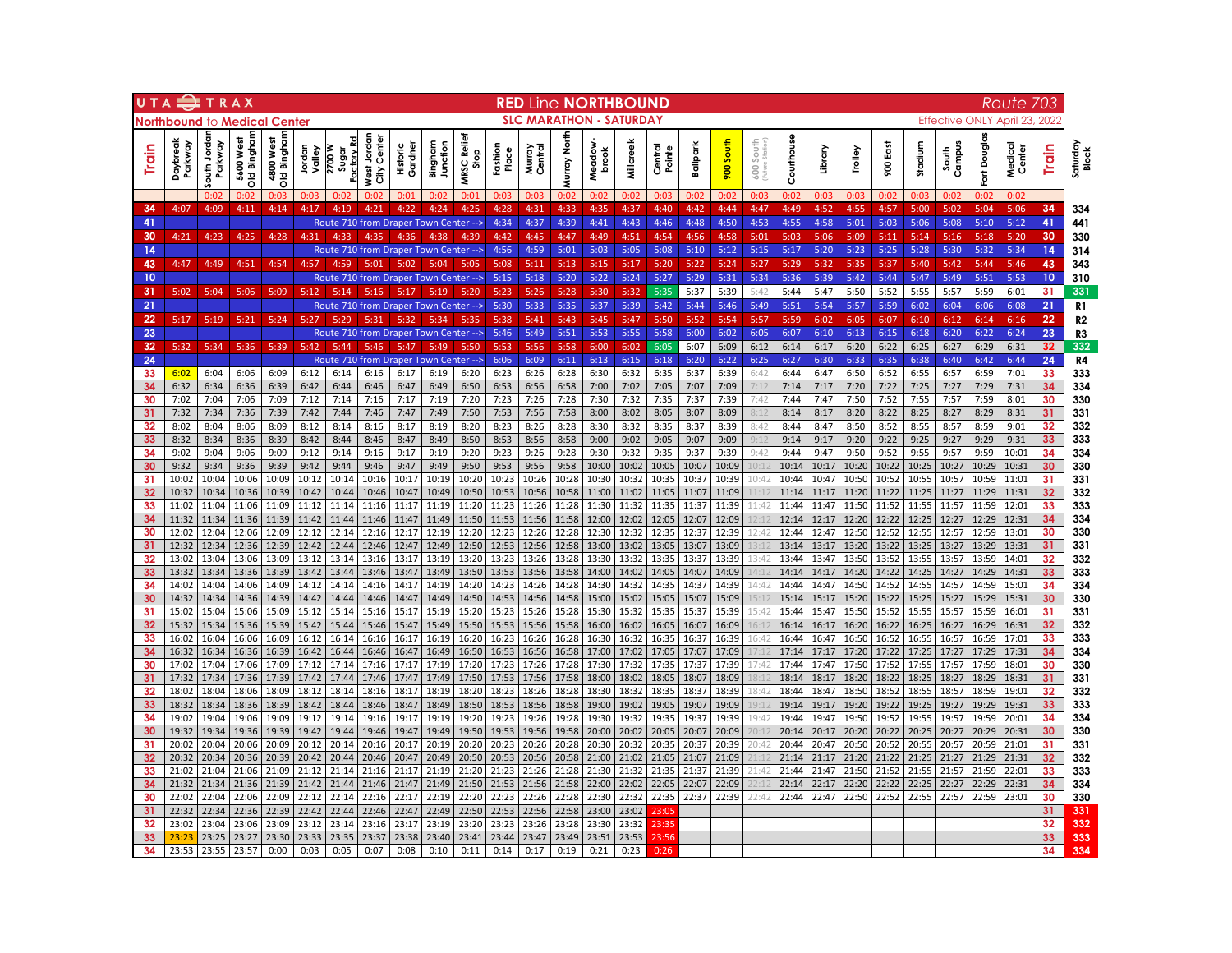| UTA          |                              | TRAX                              |                              |                                       |                  |                              |                                          |                     |                                               |                    |                  |                   |                 | <b>RED Line NORTHBOUND</b>     |                |                   |                |                |               |                |                |                |                |                |                 |                | Route                    | 703      |                   |
|--------------|------------------------------|-----------------------------------|------------------------------|---------------------------------------|------------------|------------------------------|------------------------------------------|---------------------|-----------------------------------------------|--------------------|------------------|-------------------|-----------------|--------------------------------|----------------|-------------------|----------------|----------------|---------------|----------------|----------------|----------------|----------------|----------------|-----------------|----------------|--------------------------|----------|-------------------|
|              | <b>Northbound to Medical</b> |                                   |                              | Center                                |                  |                              |                                          |                     |                                               |                    |                  |                   |                 | <b>SLC MARATHON - SATURDAY</b> |                |                   |                |                |               |                |                |                |                |                |                 |                | Effective ONLY April 23, | 2022     |                   |
| <b>Train</b> | Daybreak<br>Parkway          | Jorda<br>Parkway<br>$\frac{1}{5}$ | Bingham<br>West<br>5600<br>흥 | Bingham<br>4800 West<br>$\frac{1}{2}$ | Jordan<br>Valley | Factory Rd<br>2700W<br>Sugar | West Jordan<br>Center<br>$\hat{\vec{v}}$ | Historic<br>Gardnei | Bingham<br>Junction                           | MRSC Relie<br>Stop | Fashion<br>Place | Central<br>Murray | North<br>lurray | Meadow<br>brook                | Milcreek       | Central<br>Pointe | Ballpark       | 900 South      | South<br>600  | Courthouse     | Library        | Trolley        | ã<br>8         | Stadium        | Campus<br>South | Fort Douglas   | Medical<br>Center        | Train    | Saturday<br>Block |
|              |                              | 0.02                              | ∩∙იշ                         | 0:03                                  |                  |                              |                                          | n·n·                | n·n:                                          | U.U.               | ∩∙∩              | ∩∙∩ª              |                 | 0:02                           |                | 0:03              | n·nt           | 0:02           | ∩∙na          | 0:02           | n·na           | n·na           | ∩∙∩:           | ∩∙∩≈           | 0:02            | ∩∙∩            | 0:02                     |          |                   |
| 34           | 4:07                         | 4:09                              | 4:11                         | 4:14                                  | 4:17             | 4:19                         | 4:21                                     | 4:22                | 4:24                                          | 4:25               | 4:28             | 4:31              | 4:33            | 4:35                           | 4:37           | 4:40              | 4:42           | 4:44           | 4:47          | 4:49           | 4:52           | 4:55           | 4:57           | 5:00           | 5:02            | 5:04           | 5:06                     | 34       | 334               |
| 41           |                              |                                   |                              |                                       |                  | 4.33                         | 4.35                                     |                     | Route 710 from Draper Town Center -->         |                    | 4:34             | 4:37              | 4:39            | 4:41                           | 4:43           | 4:46              | 4:48           | 4:50           | 4:53          | 4:55           | 4:58           | 5:01           | 5:03           | 5:06           | 5:08            | 5:10           | 5:12                     | 41       | 441               |
| 30<br>14     | 4:21                         | 4:23                              | 4:25                         | 4:28                                  | 4:31             |                              |                                          | 4:36                | 4:38<br>Route 710 from Draper Town Center --> | 4:39               | 4:42<br>4:56     | 4:45<br>4:59      | 4:47<br>5:01    | 4:49<br>5:03                   | 4:51<br>5:05   | 4:54<br>5:08      | 4:56<br>5:10   | 4:58<br>5:12   | 5:01<br>5:15  | 5:03<br>5:17   | 5:06<br>5:20   | 5:09<br>5:23   | 5:11<br>5:25   | 5:14<br>5:28   | 5:16<br>5:30    | 5:18<br>5:32   | 5:20<br>5:34             | 30<br>14 | 330<br>314        |
| 43           | 4:47                         | 4:49                              | 4:51                         | 4:54                                  | 4.57             |                              | 5:01                                     | 5:02                | 5:04                                          | 5.05               | 5:08             | 5:11              | 5:13            | 5:15                           | 5:17           | 5:20              | 5:22           | 5:24           | 5:27          | 5:29           | 5:32           | 5:35           | 5:37           | 5:40           | 5:42            | 5:44           | 5:46                     | 43       | 343               |
| 10           |                              |                                   |                              |                                       |                  |                              |                                          |                     | Route 710 from Draper Town Center -->         |                    | 5:15             | 5:18              | 5:20            | 5:22                           | 5:24           | 5:27              | 5:29           | 5:31           | 5:34          | 5:36           | 5:39           | 5:42           | 5:44           | 5:47           | 5:49            | 5:51           | 5:53                     | 10       | 310               |
| 31           | 5:02                         | 5:04                              | 5:06                         | 5:09                                  | 5:12             | 5:14                         | 5:16                                     | 5:17                | 5:19                                          | 5:20               | 5:23             | 5:26              | 5:28            | 5:30                           | 5:32           | 5:35              | 5:37           | 5:39           | 5:42          | 5:44           | 5:47           | 5:50           | 5:52           | 5:55           | 5:57            | 5:59           | 6:01                     | 31       | 331               |
| 21           |                              |                                   |                              |                                       |                  |                              |                                          |                     | Route 710 from Draper Town Center -->         |                    | 5:30             | 5:33              | 5:35            | 5:37                           | 5:39           | 5:42              | 5:44           | 5:46           | 5:49          | 5:51           | 5:54           | 5:57           | 5:59           | 6:02           | 6:04            | 6:06           | 6:08                     | 21       | R <sub>1</sub>    |
| 22           | 5:17                         | 5:19                              | 5:21                         | 5:24                                  | 5:27             | 5.20                         | 5.31                                     | 5.32                | 5.34                                          | 5.35               | 5:38             | 5:41              | 5:43            | 5:45                           | 5:47           | 5:50              | 5:52           | 5:54           | 5:57          | 5:59           | 6:02           | 6:05           | 6:07           | 6:10           | 6:12            | 6:14           | 6:16                     | 22       | R <sub>2</sub>    |
| 23           |                              |                                   |                              |                                       |                  |                              |                                          |                     | Route 710 from Draper Town Center -->         |                    | 5:46             | 5:49              | 5:51            | 5:53                           | 5:55           | 5:58              | 6:00           | 6:02           | 6:05          | 6:07           | 6:10           | 6:13           | 6:15           | 6:18           | 6:20            | 6:22           | 6:24                     | 23       | R3                |
| 32           | 5:32                         | 5:34                              | 5:36                         | 5:39                                  | 5:42             | 5:44                         | 5:46                                     | 5:47                | 5:49                                          | 5:50               | 5:53             | 5:56              | 5:58            | 6:00                           | 6:02           | 6:05              | 6:07           | 6:09           | 6:12          | 6:14           | 6:17           | 6:20           | 6:22           | 6:25           | 6:27            | 6:29           | 6:31                     | 32       | 332               |
| 24<br>33     | 6:02                         | 6:04                              | 6:06                         | 6:09                                  | 6:12             | 6:14                         | 6:16                                     | 6:17                | Route 710 from Draper Town Center --><br>6:19 | 6:20               | 6:06<br>6:23     | 6:09<br>6:26      | 6:11<br>6:28    | 6:13<br>6:30                   | 6:15<br>6:32   | 6:18<br>6:35      | 6:20<br>6:37   | 6:22<br>6:39   | 6:25<br>6:42  | 6:27<br>6:44   | 6:30<br>6:47   | 6:33<br>6:50   | 6:35<br>6:52   | 6:38<br>6:55   | 6:40<br>6:57    | 6:42<br>6:59   | 6:44<br>7:01             | 24<br>33 | R4<br>333         |
| 34           | 6:32                         | 6:34                              | 6:36                         | 6:39                                  | 6:42             | 6:44                         | 6:46                                     | 6:47                | 6:49                                          | 6:50               | 6:53             | 6:56              | 6:58            | 7:00                           | 7:02           | 7:05              | 7:07           | 7:09           | 7:12          | 7:14           | 7:17           | 7:20           | 7:22           | 7:25           | 7:27            | 7:29           | 7:31                     | 34       | 334               |
| 30           | 7:02                         | 7:04                              | 7:06                         | 7:09                                  | 7:12             | 7:14                         | 7:16                                     | 7:17                | 7:19                                          | 7:20               | 7:23             | 7:26              | 7:28            | 7:30                           | 7:32           | 7:35              | 7:37           | 7:39           | 7:42          | 7:44           | 7:47           | 7:50           | 7:52           | 7:55           | 7:57            | 7:59           | 8:01                     | 30       | 330               |
| 31           | 7:32                         | 7:34                              | 7:36                         | 7:39                                  | 7:42             | 7:44                         | 7:46                                     | 7:47                | 7:49                                          | 7:50               | 7:53             | 7:56              | 7:58            | 8:00                           | 8:02           | 8:05              | 8:07           | 8:09           | 8:17          | 8:14           | 8:17           | 8:20           | 8:22           | 8:25           | 8:27            | 8:29           | 8:31                     | 31       | 331               |
| 32           | 8:02                         | 8:04                              | 8:06                         | 8:09                                  | 8:12             | 8:14                         | 8:16                                     | 8:17                | 8:19                                          | 8:20               | 8:23             | 8:26              | 8:28            | 8:30                           | 8:32           | 8:35              | 8:37           | 8:39           | 8:42          | 8:44           | 8:47           | 8:50           | 8:52           | 8:55           | 8:57            | 8:59           | 9:01                     | 32       | 332               |
| 33           | 8:32                         | 8:34                              | 8:36                         | 8:39                                  | 8:42             | 8:44                         | 8:46                                     | 8:47                | 8:49                                          | 8:50               | 8:53             | 8:56              | 8:58            | 9:00                           | 9:02           | 9:05              | 9:07           | 9:09           | 9:1           | 9:14           | 9:17           | 9:20           | 9:22           | 9:25           | 9:27            | 9:29           | 9:31                     | 33       | 333               |
| 34           | 9:02                         | 9:04                              | 9:06                         | 9:09                                  | 9:12             | 9:14                         | 9:16                                     | 9:17                | 9:19                                          | 9:20               | 9:23             | 9:26              | 9:28            | 9:30                           | 9:32           | 9:35              | 9:37           | 9:39           | 9:42          | 9:44           | 9:47           | 9:50           | 9:52           | 9:55           | 9:57            | 9:59           | 10:01                    | 34       | 334               |
| 30<br>31     | 9:32<br>10:02                | 9:34<br>10:04                     | 9:36<br>10:06                | 9:39<br>10:09                         | 9:42<br>10:12    | 9:44<br>10:14                | 9:46<br>10:16                            | 9:47<br>10:17       | 9:49<br>10:19                                 | 9:50<br>10:20      | 9:53<br>10:23    | 9:56<br>10:26     | 9:58<br>10:28   | 10:00<br>10:30                 | 10:02<br>10:32 | 10:05<br>10:35    | 10:07<br>10:37 | 10:09<br>10:39 | 10:4          | 10:14<br>10:44 | 10:17<br>10:47 | 10:20<br>10:50 | 10:22<br>10:52 | 10:25<br>10:55 | 10:27<br>10:57  | 10:29<br>10:59 | 10:31<br>11:01           | 30<br>31 | 330<br>331        |
| 32           | 10:32                        | 10:34                             | 10:36                        | 10:39                                 | 10:42            | 10:44                        | 10:46                                    | 10:47               | 10:49                                         | 10:50              | 10:53            | 10:56             | 10:58           | 11:00                          | 11:02          | 11:05             | 11:07          | 11:09          |               | 11:14          | 11:17          | 11:20          | 11:22          | 11:25          | 11:27           | 11:29          | 11:31                    | 32       | 332               |
| 33           | 11:02                        | 11:04                             | 11:06                        | 11:09                                 | 11:12            | 11:14                        | 11:16                                    | 11:17               | 11:19                                         | 11:20              | 11:23            | 11:26             | 11:28           | 11:30                          | 11:32          | 11:35             | 11:37          | 11:39          | 11:4          | 11:44          | 11:47          | 11:50          | 11:52          | 11:55          | 11:57           | 11:59          | 12:01                    | 33       | 333               |
| 34           | 11:32                        | 11:34                             | 11:36                        | 11:39                                 | 11:42            | 11:44                        | 11:46                                    | 11:47               | 11:49                                         | 11:50              | 11:53            | 11:56             | 11:58           | 12:00                          | 12:02          | 12:05             | 12:07          | 12:09          | 12:1          | 12:14          | 12:17          | 12:20          | 12:22          | 12:25          | 12:27           | 12:29          | 12:31                    | 34       | 334               |
| 30           | 12:02                        | 12:04                             | 12:06                        | 12:09                                 | 12:12            | 12:14                        | 12:16                                    | 12:17               | 12:19                                         | 12:20              | 12:23            | 12:26             | 12:28           | 12:30                          | 12:32          | 12:35             | 12:37          | 12:39          | 12:4          | 12:44          | 12:47          | 12:50          | 12:52          | 12:55          | 12:57           | 12:59          | 13:01                    | 30       | 330               |
| 31           | 12:32                        | 12:34                             | 12:36                        | 12:39                                 | 12:42            | 12:44                        | 12:46                                    | 12:47               | 12:49                                         | 12:50              | 12:53            | 12:56             | 12:58           | 13:00                          | 13:02          | 13:05             | 13:07          | 13:09          |               | 13:14          | 13:17          | 13:20          | 13:22          | 13:25          | 13:27           | 13:29          | 13:31                    | 31       | 331               |
| 32           | 13:02                        | 13:04                             | 13:06                        | 13:09                                 | 13:12            | 13:14                        | 13:16                                    | 13:17               | 13:19                                         | 13:20              | 13:23            | 13:26             | 13:28           | 13:30                          | 13:32          | 13:35             | 13:37          | 13:39          | 13:4          | 13:44          | 13:47          | 13:50          | 13:52          | 13:55          | 13:57           | 13:59          | 14:01                    | 32       | 332               |
| 33<br>34     | 13:32<br>14:02               | 13:34<br>14:04                    | 13:36<br>14:06               | 13:39<br>14:09                        | 13:42<br>14:12   | 13:44<br>14:14               | 13:46<br>14:16                           | 13:47<br>14:17      | 13:49<br>14:19                                | 13:50<br>14:20     | 13:53<br>14:23   | 13:56<br>14:26    | 13:58<br>14:28  | 14:00<br>14:30                 | 14:02<br>14:32 | 14:05<br>14:35    | 14:07<br>14:37 | 14:09<br>14:39 | 14:1<br>14:42 | 14:14<br>14:44 | 14:17<br>14:47 | 14:20<br>14:50 | 14:22<br>14:52 | 14:25<br>14:55 | 14:27<br>14:57  | 14:29<br>14:59 | 14:31<br>15:01           | 33<br>34 | 333<br>334        |
| 30           | 14:32                        | 14:34                             | 14:36                        | 14:39                                 | 14:42            | 14:44                        | 14:46                                    | 14:47               | 14:49                                         | 14:50              | 14:53            | 14:56             | 14:58           | 15:00                          | 15:02          | 15:05             | 15:07          | 15:09          |               | 15:14          | 15:17          | 15:20          | 15:22          | 15:25          | 15:27           | 15:29          | 15:31                    | 30       | 330               |
| 31           | 15:02                        | 15:04                             | 15:06                        | 15:09                                 | 15:12            | 15:14                        | 15:16                                    | 15:17               | 15:19                                         | 15:20              | 15:23            | 15:26             | 15:28           | 15:30                          | 15:32          | 15:35             | 15:37          | 15:39          | 15:4          | 15:44          | 15:47          | 15:50          | 15:52          | 15:55          | 15:57           | 15:59          | 16:01                    | 31       | 331               |
| 32           | 15:32                        | 15:34                             | 15:36                        | 15:39                                 | 15:42            | 15:44                        | 15:46                                    | 15:47               | 15:49                                         | 15:50              | 15:53            | 15:56             | 15:58           | 16:00                          | 16:02          | 16:05             | 16:07          | 16:09          |               | 16:14          | 16:17          | 16:20          | 16:22          | 16:25          | 16:27           | 16:29          | 16:31                    | 32       | 332               |
| 33           | 16:02                        | 16:04                             | 16:06                        | 16:09                                 | 16:12            | 16:14                        | 16:16                                    | 16:17               | 16:19                                         | 16:20              | 16:23            | 16:26             | 16:28           | 16:30                          | 16:32          | 16:35             | 16:37          | 16:39          | 16:42         | 16:44          | 16:47          | 16:50          | 16:52          | 16:55          | 16:57           | 16:59          | 17:01                    | 33       | 333               |
| 34           | 16:32                        | 16:34                             | 16:36                        | 16:39                                 | 16:42            | 16:44                        | 16:46                                    | 16:47               | 16:49                                         | 16:50              | 16:53            | 16:56             | 16:58           | 17:00                          | 17:02          | 17:05             | 17:07          | 17:09          |               | 17:14          | 17:17          | 17:20          | 17:22          | 17:25          | 17:27           | 17:29          | 17:31                    | 34       | 334               |
| 30           | 17:02                        | 17:04                             | 17:06                        | 17:09                                 | 17:12            | 17:14                        | 17:16                                    | 17:17               | 17:19                                         | 17:20              | 17:23            | 17:26             | 17:28           | 17:30                          | 17:32          | 17:35             | 17:37          | 17:39          | 17:4          | 17:44          | 17:47          | 17:50          | 17:52          | 17:55          | 17:57           | 17:59          | 18:01                    | 30<br>31 | 330<br>331        |
| 31<br>32     | 17:32<br>18:02               | 17:34<br>18:04                    | 17:36<br>18:06               | 17:39<br>18:09                        | 17:42<br>18:12   | 17:44<br>18:14               | 17:46<br>18:16                           | 17:47<br>18:17      | 17:49<br>18:19                                | 17:50<br>18:20     | 17:53<br>18:23   | 17:56<br>18:26    | 17:58<br>18:28  | 18:00<br>18:30                 | 18:02<br>18:32 | 18:05<br>18:35    | 18:07<br>18:37 | 18:09<br>18:39 | 18:1<br>18:4  | 18:14<br>18:44 | 18:17<br>18:47 | 18:20<br>18:50 | 18:22<br>18:52 | 18:25<br>18:55 | 18:27<br>18:57  | 18:29<br>18:59 | 18:31<br>19:01           | 32       | 332               |
| 33           | 18:32                        | 18:34                             | 18:36                        | 18:39                                 | 18:42            | 18:44                        | 18:46                                    | 18:47               | 18:49                                         | 18:50              | 18:53            | 18:56             | 18:58           | 19:00                          | 19:02          | 19:05             | 19:07          | 19:09          | 19:7          | 19:14          | 19:17          | 19:20          | 19:22          | 19:25          | 19:27           | 19:29          | 19:31                    | 33       | 333               |
| 34           | 19:02                        | 19:04                             | 19:06                        | 19:09                                 | 19:12            | 19:14                        | 19:16                                    | 19:17               | 19:19                                         | 19:20              | 19:23            | 19:26             | 19:28           | 19:30                          | 19:32          | 19:35             | 19:37          | 19:39          | 19:4          | 19:44          | 19:47          | 19:50          | 19:52          | 19:55          | 19:57           | 19:59          | 20:01                    | 34       | 334               |
| 30           | 19:32                        | 19:34                             | 19:36                        | 19:39                                 | 19:42            | 19:44                        | 19:46                                    | 19:47               | 19:49                                         | 19:50              | 19:53            | 19:56             | 19:58           | 20:00                          | 20:02          | 20:05             | 20:07          | 20:09          |               | 20:14          | 20:17          | 20:20          | 20:22          | 20:25          | 20:27           | 20:29          | 20:31                    | 30       | 330               |
| 31           | 20:02                        | 20:04                             | 20:06                        | 20:09                                 | 20:12            | 20:14                        | 20:16                                    | 20:17               | 20:19                                         | 20:20              | 20:23            | 20:26             | 20:28           | 20:30                          | 20:32          | 20:35             | 20:37          | 20:39          | 20:4          | 20:44          | 20:47          | 20:50          | 20:52          | 20:55          | 20:57           | 20:59          | 21:01                    | 31       | 331               |
| 32           | 20:32                        | 20:34                             | 20:36                        | 20:39                                 | 20:42            | 20:44                        | 20:46                                    | 20:47               | 20:49                                         | 20:50              | 20:53            | 20:56             | 20:58           | 21:00                          | 21:02          | 21:05             | 21:07          | 21:09          |               | 21:14          | 21:17          | 21:20          | 21:22          | 21:25          | 21:27           | 21:29          | 21:31                    | 32       | 332               |
| 33           | 21:02                        | 21:04                             | 21:06                        | 21:09                                 | 21:12            | 21:14                        | 21:16                                    | 21:17               | 21:19                                         | 21:20              | 21:23            | 21:26             | 21:28           | 21:30                          | 21:32          | 21:35             | 21:37          | 21:39          | 21:4          | 21:44          | 21:47          | 21:50          | 21:52          | 21:55          | 21:57           | 21:59          | 22:01                    | 33       | 333               |
| 34<br>30     | 21:32<br>22:02               | 21:34<br>22:04                    | 21:36<br>22:06               | 21:39<br>22:09                        | 21:42<br>22:12   | 21:44<br>22:14               | 21:46<br>22:16                           | 21:47<br>22:17      | 21:49<br>22:19                                | 21:50<br>22:20     | 21:53<br>22:23   | 21:56<br>22:26    | 21:58<br>22:28  | 22:00<br>22:30                 | 22:02<br>22:32 | 22:05<br>22:35    | 22:07<br>22:37 | 22:09<br>22:39 |               | 22:14<br>22:44 | 22:17<br>22:47 | 22:20<br>22:50 | 22:22<br>22:52 | 22:25<br>22:55 | 22:27<br>22:57  | 22:29<br>22:59 | 22:31<br>23:01           | 34<br>30 | 334<br>330        |
| 31           | 22:32                        | 22:34                             | 22:36                        | 22:39                                 | 22:42            | 22:44                        | 22:46                                    | 22:47               | 22:49                                         | 22:50              | 22:53            | 22:56             | 22:58           | 23:00                          | 23:02          | 23:05             |                |                |               |                |                |                |                |                |                 |                |                          | 31       | 331               |
| 32           | 23:02                        | 23:04                             | 23:06                        | 23:09                                 | 23:12            | 23:14                        | 23:16                                    | 23:17               | 23:19                                         | 23:20              | 23:23            | 23:26             | 23:28           | 23:30                          | 23:32          | 23:35             |                |                |               |                |                |                |                |                |                 |                |                          | 32       | 332               |
| 33           |                              | 23:25                             | 23:27                        | 23:30                                 | 23:33            | 23:35                        | 23:37                                    | 23:38               | 23:40                                         | 23:41              | 23:44            | 23:47             | 23:49           | 23:51                          | 23:53          | 23:56             |                |                |               |                |                |                |                |                |                 |                |                          | 33       | 333               |
| 34           | 23:53                        | 23:55                             | 23:57                        | 0:00                                  | 0:03             | 0:05                         | 0:07                                     | 0:08                | 0:10                                          | 0:11               | 0:14             | 0:17              | 0:19            | 0:21                           | 0:23           | በ፡ጋ6              |                |                |               |                |                |                |                |                |                 |                |                          | 34       | 334               |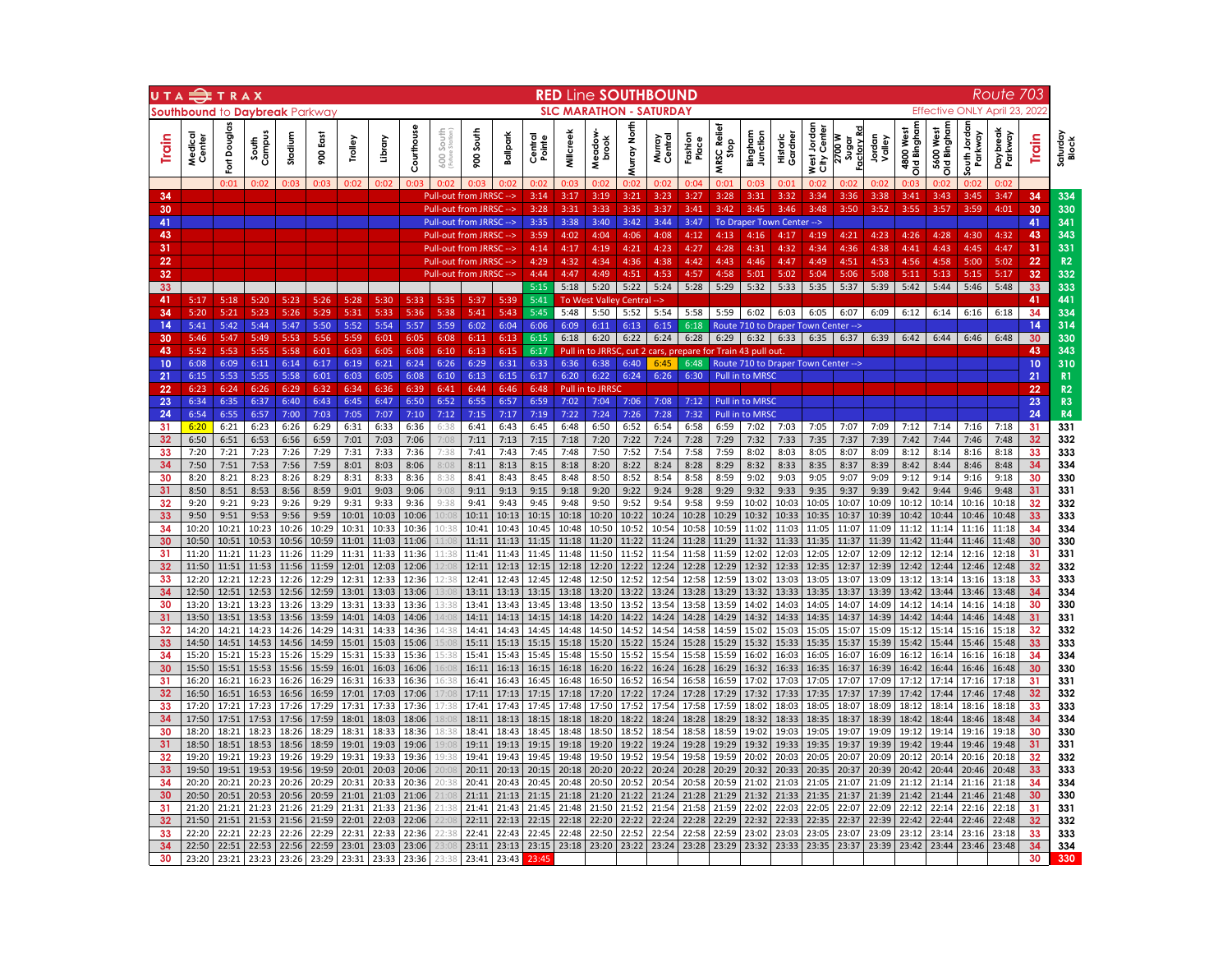|          | UTA TRAX                       |                             |                      |                |                |                |                |                |                |                                                    |                |                   |                  | RED Line SOUTHBOUND                   |                   |                  |                   |                        |                                                               |                     |                            |                              |                  |                              |                             |                                | <u>Route</u>        | 703      |                   |
|----------|--------------------------------|-----------------------------|----------------------|----------------|----------------|----------------|----------------|----------------|----------------|----------------------------------------------------|----------------|-------------------|------------------|---------------------------------------|-------------------|------------------|-------------------|------------------------|---------------------------------------------------------------|---------------------|----------------------------|------------------------------|------------------|------------------------------|-----------------------------|--------------------------------|---------------------|----------|-------------------|
|          | Southbound to Davbreak Parkway |                             |                      |                |                |                |                |                |                |                                                    |                |                   |                  | <b>SLC MARATHON - SATURDAY</b>        |                   |                  |                   |                        |                                                               |                     |                            |                              |                  |                              |                             | <b>Effective ONLY April 23</b> |                     | 202'     |                   |
| Train    | Medical<br>Center              | <b>Douglas</b><br><u>ទ្</u> | Campu<br>South       | Stadium        | 900 East       | Trolley        | Library        | Courthouse     | 600 South      | South<br>8                                         | Ballpark       | Central<br>Pointe | <b>Millcreel</b> | Meadow                                | ğ<br><b>Spart</b> | Centra<br>Murray | Fashion           | Relief<br>Stop<br>MRSC | Junction<br>Bingham                                           | Gardner<br>Historic | West Jordan<br>City Center | Factory Rd<br>2700W<br>sugar | Jordan<br>Valley | mphghaid biC<br>West<br>4800 | Old Bingham<br>West<br>5600 | outh Jordan<br>Parkway         | Daybreak<br>Parkway | Train    | Saturday<br>Block |
|          |                                | 0:01                        | 0:02                 | 0:03           | 0:03           | 0:02           | 0:02           | 0:03           | 0:02           | 0:03                                               | 0:02           | 0:02              | 0:03             | 0:02                                  | 0:02              | 0:02             | 0:04              | 0:01                   | 0:03                                                          | 0:01                | 0:02                       | 0:02                         | 0:02             | 0:03                         | 0:02                        | 0:02                           | 0:02                |          |                   |
| 34       |                                |                             |                      |                |                |                |                |                |                | Pull-out from JRRSC -->                            |                | 3:14              | 3:17             | 3:19                                  | 3:21              | 3:23             | 3:27              | 3:28                   | 3:31                                                          | 3:32                | 3:34                       | 3:36                         | 3:38             | 3:41                         | 3:43                        | 3:45                           | 3:47                | 34       | 334               |
| 30<br>41 |                                |                             |                      |                |                |                |                |                |                | <b>Pull-out from JRRSC</b>                         |                | 3:28<br>3:35      | 3:31<br>3:38     | 3:33<br>3:40                          | 3:35<br>3:42      | 3:37<br>3:44     | 3:41<br>3:47      | 3:42                   | 3:45                                                          | 3:46                | 3:48                       | 3:50                         | 3:52             | 3:55                         | 3:57                        | 3:59                           | 4:01                | 30<br>41 | 330<br>341        |
| 43       |                                |                             |                      |                |                |                |                |                |                | Pull-out from JRRSC --><br>Pull-out from JRRSC --> |                | 3:59              | 4:02             | 4:04                                  | 4:06              | 4:08             | 4:12              | 4:13                   | To Draper Town Center --><br>4:16                             | 4:17                | 4:19                       | 4:21                         | 4:23             | 4:26                         | 4:28                        | 4:30                           | 4:32                | 43       | 343               |
| 31       |                                |                             |                      |                |                |                |                |                |                | <b>Pull-out from JRRSO</b>                         |                | 4:14              | 4:17             | 4:19                                  | 4:21              | 4:23             | 4:27              | 4:28                   | 4:31                                                          | 4:32                | 4:34                       | 4:36                         | 4:38             | 4:41                         | 4:43                        | 4:45                           | 4:47                | 31       | 331               |
| 22       |                                |                             |                      |                |                |                |                |                |                | <b>Pull-out from JRRSC</b>                         |                | 4:29              | 4:32             | 4:34                                  | 4:36              | 4:38             | 4:42              | 4:43                   | 4:46                                                          | 4:47                | 4:49                       | 4:51                         | 4:53             | 4:56                         | 4:58                        | 5:00                           | 5:02                | 22       | R <sub>2</sub>    |
| 32       |                                |                             |                      |                |                |                |                |                |                | <b>Pull-out from JRRSC</b>                         |                | 4:44              | 4:47             | 4:49                                  | 4:51              | 4:53             | 4:57              | 4:58                   | 5:01                                                          | 5:02                | 5:04                       | 5:06                         | 5:08             | 5:11                         | 5:13                        | 5:15                           | 5:17                | 32       | 332               |
| 33<br>41 | 5:17                           | 5:18                        | 5:20                 | 5:23           | 5:26           | 5:28           | 5:30           | 5:33           | 5:35           | 5:37                                               | 5:39           | 5:15<br>5:41      | 5:18             | 5:20<br><b>To West Valley Central</b> | 5:22              | 5:24<br>-->      | 5:28              | 5:29                   | 5:32                                                          | 5:33                | 5:35                       | 5:37                         | 5:39             | 5:42                         | 5:44                        | 5:46                           | 5:48                | 33<br>41 | 333<br>441        |
| 34       | 5:20                           | 5:21                        | 5:23                 | 5:26           | 5:29           | 5:31           | 5:33           | 5:36           | 5:38           | 5:41                                               | 5:43           | 5:45              | 5:48             | 5:50                                  | 5:52              | 5:54             | 5:58              | 5:59                   | 6:02                                                          | 6:03                | 6:05                       | 6:07                         | 6:09             | 6:12                         | 6:14                        | 6:16                           | 6:18                | 34       | 334               |
| 14       | 5:41                           | 5:42                        | 5:44                 | 5:47           | 5:50           | 5:52           | 5:54           | 5:57           | 5:59           | 6:02                                               | 6:04           | 6:06              | 6:09             | 6:11                                  | 6:13              | 6:15             | 6:18              |                        | Route 710 to Draper Town Center -->                           |                     |                            |                              |                  |                              |                             |                                |                     | 14       | 314               |
| 30       | 5:46                           | 5:47                        | 5:49                 | 5:53           | 5:56           | 5:59           | 6:01           | 6:05           | 6:08           | 6:11                                               | 6:13           | 6:15              | 6:18             | 6:20                                  | 6:22              | 6:24             | 6:28              | 6:29                   | 6:32                                                          | 6:33                | 6:35                       | 6:37                         | 6:39             | 6:42                         | 6:44                        | 6:46                           | 6:48                | 30       | 330               |
| 43       | 5:52                           | 5:53                        | 5:55                 | 5:58           | 6:01           | 6:03           | 6:05           | 6:08           | 6:10           | 6:13                                               | 6:15           | 6:17              | Pull in          |                                       | to JRRSC, cut 2   |                  | cars, prepare for |                        | Train 43 pull out                                             |                     |                            |                              |                  |                              |                             |                                |                     | 43       | 343               |
| 10<br>21 | 6:08<br>6:15                   | 6:09<br>5:53                | 6:11<br>5:55         | 6:14<br>5:58   | 6:17<br>6:01   | 6:19<br>6:03   | 6:21<br>6:05   | 6:24<br>6:08   | 6:26<br>6:10   | 6:29<br>6:13                                       | 6:31<br>6:15   | 6:33<br>6:17      | 6:36<br>6:20     | 6:38<br>6:22                          | 6:40<br>6:24      | 6:45<br>6:26     | 6:48<br>6:30      |                        | Route 710 to Draper Town Center --><br><b>Pull in to MRSC</b> |                     |                            |                              |                  |                              |                             |                                |                     | 10<br>21 | 310<br>R1         |
| 22       | 6:23                           | 6:24                        | 6:26                 | 6:29           | 6:32           | 6:34           | 6:36           | 6:39           | 6:41           | 6:44                                               | 6:46           | 6:48              | Pull in          | to JRRSC                              |                   |                  |                   |                        |                                                               |                     |                            |                              |                  |                              |                             |                                |                     | 22       | R2                |
| 23       | 6:34                           | 6:35                        | 6:37                 | 6:40           | 6:43           | 6:45           | 6:47           | 6:50           | 6:52           | 6:55                                               | 6:57           | 6:59              | 7:02             | 7:04                                  | 7:06              | 7:08             | 7:12              |                        | Pull in to MRSC                                               |                     |                            |                              |                  |                              |                             |                                |                     | 23       | R <sub>3</sub>    |
| 24       | 6:54                           | 6:55                        | 6:57                 | 7:00           | 7:03           | 7:05           | 7:07           | 7:10           | 7:12           | 7:15                                               | 7:17           | 7:19              | 7:22             | 7:24                                  | 7:26              | 7:28             | 7:32              |                        | Pull in to MRSO                                               |                     |                            |                              |                  |                              |                             |                                |                     | 24       | R <sub>4</sub>    |
| 31<br>32 | 6:20<br>6:50                   | 6:21                        | 6:23<br>6:53         | 6:26           | 6:29<br>6:59   | 6:31           | 6:33<br>7:03   | 6:36<br>7:06   | 6:38<br>7:08   | 6:41<br>7:11                                       | 6:43<br>7:13   | 6:45<br>7:15      | 6:48<br>7:18     | 6:50                                  | 6:52<br>7:22      | 6:54<br>7:24     | 6:58<br>7:28      | 6:59<br>7:29           | 7:02<br>7:32                                                  | 7:03<br>7:33        | 7:05                       | 7:07<br>7:37                 | 7:09             | 7:12<br>7:42                 | 7:14<br>7:44                | 7:16<br>7:46                   | 7:18<br>7:48        | 31       | 331<br>332        |
| 33       | 7:20                           | 6:51<br>7:21                | 7:23                 | 6:56<br>7:26   | 7:29           | 7:01<br>7:31   | 7:33           | 7:36           | 7:38           | 7:41                                               | 7:43           | 7:45              | 7:48             | 7:20<br>7:50                          | 7:52              | 7:54             | 7:58              | 7:59                   | 8:02                                                          | 8:03                | 7:35<br>8:05               | 8:07                         | 7:39<br>8:09     | 8:12                         | 8:14                        | 8:16                           | 8:18                | 32<br>33 | 333               |
| 34       | 7:50                           | 7:51                        | 7:53                 | 7:56           | 7:59           | 8:01           | 8:03           | 8:06           | 8:08           | 8:11                                               | 8:13           | 8:15              | 8:18             | 8:20                                  | 8:22              | 8:24             | 8:28              | 8:29                   | 8:32                                                          | 8:33                | 8:35                       | 8:37                         | 8:39             | 8:42                         | 8:44                        | 8:46                           | 8:48                | 34       | 334               |
| 30       | 8:20                           | 8:21                        | 8:23                 | 8:26           | 8:29           | 8:31           | 8:33           | 8:36           | 8:38           | 8:41                                               | 8:43           | 8:45              | 8:48             | 8:50                                  | 8:52              | 8:54             | 8:58              | 8:59                   | 9:02                                                          | 9:03                | 9:05                       | 9:07                         | 9:09             | 9:12                         | 9:14                        | 9:16                           | 9:18                | 30       | 330               |
| 31       | 8:50                           | 8:51                        | 8:53                 | 8:56           | 8:59           | 9:01           | 9:03           | 9:06           | 9:08           | 9:11                                               | 9:13           | 9:15              | 9:18             | 9:20                                  | 9:22              | 9:24             | 9:28              | 9:29                   | 9:32                                                          | 9:33                | 9:35                       | 9:37                         | 9:39             | 9:42                         | 9:44                        | 9:46                           | 9:48                | 31       | 331               |
| 32<br>33 | 9:20<br>9:50                   | 9:21                        | 9:23<br>9:53         | 9:26<br>9:56   | 9:29<br>9:59   | 9:31           | 9:33           | 9:36<br>10:06  | 9:38<br>10:08  | 9:41<br>10:11                                      | 9:43<br>10:13  | 9:45<br>10:15     | 9:48<br>10:18    | 9:50<br>10:20                         | 9:52<br>10:22     | 9:54<br>10:24    | 9:58<br>10:28     | 9:59<br>10:29          | 10:02<br>10:32                                                | 10:03<br>10:33      | 10:05<br>10:35             | 10:07<br>10:37               | 10:09<br>10:39   | 10:12<br>10:42               | 10:14<br>10:44              | 10:16<br>10:46                 | 10:18<br>10:48      | 32<br>33 | 332<br>333        |
| 34       | 10:20                          | 9:51<br>10:21               | 10:23                | 10:26          | 10:29          | 10:01<br>10:31 | 10:03<br>10:33 | 10:36          | 10:38          | 10:41                                              | 10:43          | 10:45             | 10:48            | 10:50                                 | 10:52             | 10:54            | 10:58             | 10:59                  | 11:02                                                         | 11:03               | 11:05                      | 11:07                        | 11:09            | 11:12                        | 11:14                       | 11:16                          | 11:18               | 34       | 334               |
| 30       | 10:50                          | 10:51                       | 10:53                | 10:56          | 10:59          | 11:01          | 11:03          | 11:06          |                | 11:11                                              | 11:13          | 11:15             | 11:18            | 11:20                                 | 11:22             | 11:24            | 11:28             | 11:29                  | 11:32                                                         | 11:33               | 11:35                      | 11:37                        | 11:39            | 11:42                        | 11:44                       | 11:46                          | 11:48               | 30       | 330               |
| 31       | 11:20                          | 11:21                       | 11:23                | 11:26          | 11:29          | 11:31          | 11:33          | 11:36          | 11:38          | 11:41                                              | 11:43          | 11:45             | 11:48            | 11:50                                 | 11:52             | 11:54            | 11:58             | 11:59                  | 12:02                                                         | 12:03               | 12:05                      | 12:07                        | 12:09            | 12:12                        | 12:14                       | 12:16                          | 12:18               | 31       | 331               |
| 32       | 11:50                          | 11:51                       | 11:53                | 11:56          | 11:59          | 12:01          | 12:03          | 12:06          |                | 12:11                                              | 12:13          | 12:15             | 12:18            | 12:20                                 | 12:22             | 12:24            | 12:28             | 12:29                  | 12:32                                                         | 12:33               | 12:35                      | 12:37                        | 12:39            | 12:42                        | 12:44                       | 12:46                          | 12:48               | 32       | 332               |
| 33<br>34 | 12:20<br>12:50                 | 12:51                       | 12:21 12:23<br>12:53 | 12:26<br>12:56 | 12:29<br>12:59 | 12:31<br>13:01 | 12:33<br>13:03 | 12:36<br>13:06 | 12:38<br>3.08  | 12:41<br>13:11                                     | 12:43<br>13:13 | 12:45<br>13:15    | 12:48<br>13:18   | 12:50<br>13:20                        | 12:52<br>13:22    | 12:54<br>13:24   | 12:58<br>13:28    | 12:59<br>13:29         | 13:02<br>13:32                                                | 13:03<br>13:33      | 13:05<br>13:35             | 13:07<br>13:37               | 13:09<br>13:39   | 13:12<br>13:42               | 13:14<br>13:44              | 13:16<br>13:46                 | 13:18<br>13:48      | 33<br>34 | 333<br>334        |
| 30       | 13:20                          | 13:21                       | 13:23                | 13:26          | 13:29          | 13:31          | 13:33          | 13:36          | 13:38          | 13:41                                              | 13:43          | 13:45             | 13:48            | 13:50                                 | 13:52             | 13:54            | 13:58             | 13:59                  | 14:02                                                         | 14:03               | 14:05                      | 14:07                        | 14:09            | 14:12                        | 14:14                       | 14:16                          | 14:18               | 30       | 330               |
| 31       | 13:50                          | 13:51                       | 13:53                | 13:56          | 13:59          | 14:01          | 14:03          | 14:06          | 4:08           | 14:11                                              | 14:13          | 14:15             | 14:18            | 14:20                                 | 14:22             | 14:24            | 14:28             | 14:29                  | 14:32                                                         | 14:33               | 14:35                      | 14:37                        | 14:39            | 14:42                        | 14:44                       | 14:46                          | 14:48               | 31       | 331               |
| 32       | 14:20                          | 14:21                       | 14:23                | 14:26          | 14:29          | 14:31          | 14:33          | 14:36          | 4:38           | 14:41                                              | 14:43          | 14:45             | 14:48            | 14:50                                 | 14:52             | 14:54            | 14:58             | 14:59                  | 15:02                                                         | 15:03               | 15:05                      | 15:07                        | 15:09            | 15:12                        | 15:14                       | 15:16                          | 15:18               | 32       | 332               |
| 33<br>34 | 14:50<br>15:20                 | 14:51<br>15:21              | 14:53<br>15:23       | 14:56<br>15:26 | 14:59<br>15:29 | 15:01<br>15:31 | 15:03<br>15:33 | 15:06<br>15:36 | .5:08<br>15:38 | 15:11<br>15:41                                     | 15:13<br>15:43 | 15:15<br>15:45    | 15:18<br>15:48   | 15:20<br>15:50                        | 15:22<br>15:52    | 15:24<br>15:54   | 15:28<br>15:58    | 15:29<br>15:59         | 15:32<br>16:02                                                | 15:33<br>16:03      | 15:35<br>16:05             | 15:37<br>16:07               | 15:39<br>16:09   | 15:42<br>16:12               | 15:44<br>16:14              | 15:46<br>16:16                 | 15:48<br>16:18      | 33<br>34 | 333<br>334        |
| 30       | 15:50                          | 15:51                       | 15:53                | 15:56          | 15:59          | 16:01          | 16:03          | 16:06          | .6:08          | 16:11                                              | 16:13          | 16:15             | 16:18            | 16:20                                 | 16:22             | 16:24            | 16:28             | 16:29                  | 16:32                                                         | 16:33               | 16:35                      | 16:37                        | 16:39            | 16:42                        | 16:44                       | 16:46                          | 16:48               | 30       | 330               |
| 31       | 16:20                          | 16:21                       | 16:23                | 16:26          | 16:29          | 16:31          | 16:33          | 16:36          | 16:38          | 16:41                                              | 16:43          | 16:45             | 16:48            | 16:50                                 | 16:52             | 16:54            | 16:58             | 16:59                  | 17:02                                                         | 17:03               | 17:05                      | 17:07                        | 17:09            | 17:12                        | 17:14                       | 17:16                          | 17:18               | 31       | 331               |
| 32       | 16:50                          | 16:51                       | 16:53                | 16:56          | 16:59          | 17:01          | 17:03          | 17:06          | 17:08          | 17:11                                              | 17:13          | 17:15             | 17:18            | 17:20                                 | 17:22             | 17:24            | 17:28             | 17:29                  | 17:32                                                         | 17:33               | 17:35                      | 17:37                        | 17:39            | 17:42                        | 17:44                       | 17:46                          | 17:48               | 32       | 332               |
| 33       | 17:20                          | 17:21                       | 17:23                | 17:26          | 17:29          | 17:31          | 17:33          | 17:36          | .7:38          | 17:41                                              | 17:43          | 17:45             | 17:48            | 17:50                                 | 17:52             | 17:54            | 17:58             | 17:59                  | 18:02                                                         | 18:03               | 18:05                      | 18:07                        | 18:09            | 18:12                        | 18:14                       | 18:16                          | 18:18               | 33       | 333               |
| 34<br>30 | 17:50<br>18:20                 | 17:51<br>18:21              | 17:53<br>18:23       | 17:56<br>18:26 | 17:59<br>18:29 | 18:01<br>18:31 | 18:03<br>18:33 | 18:06<br>18:36 | 18:08<br>18:38 | 18:11<br>18:41                                     | 18:13<br>18:43 | 18:15<br>18:45    | 18:18<br>18:48   | 18:20<br>18:50                        | 18:22<br>18:52    | 18:24<br>18:54   | 18:28<br>18:58    | 18:29<br>18:59         | 18:32<br>19:02                                                | 18:33<br>19:03      | 18:35<br>19:05             | 18:37<br>19:07               | 18:39<br>19:09   | 18:42<br>19:12               | 18:44<br>19:14              | 18:46<br>19:16                 | 18:48<br>19:18      | 34<br>30 | 334<br>330        |
| 31       | 18:50                          | 18:51                       | 18:53                | 18:56          | 18:59          | 19:01          | 19:03          | 19:06          | 9:08           | 19:11                                              | 19:13          | 19:15             | 19:18            | 19:20                                 | 19:22             | 19:24            | 19:28             | 19:29                  | 19:32                                                         | 19:33               | 19:35                      | 19:37                        | 19:39            | 19:42                        | 19:44                       | 19:46                          | 19:48               | 31       | 331               |
| 32       | 19:20                          | 19:21                       | 19:23                | 19:26          | 19:29          | 19:31          | 19:33          | 19:36          | 19:38          | 19:41                                              | 19:43          | 19:45             | 19:48            | 19:50                                 | 19:52             | 19:54            | 19:58             | 19:59                  | 20:02                                                         | 20:03               | 20:05                      | 20:07                        | 20:09            | 20:12                        | 20:14                       | 20:16                          | 20:18               | 32       | 332               |
| 33       | 19:50                          | 19:51                       | 19:53                | 19:56          | 19:59          | 20:01          | 20:03          | 20:06          |                | 20:11                                              | 20:13          | 20:15             | 20:18            | 20:20                                 | 20:22             | 20:24            | 20:28             | 20:29                  | 20:32                                                         | 20:33               | 20:35                      | 20:37                        | 20:39            | 20:42                        | 20:44                       | 20:46                          | 20:48               | 33       | 333               |
| 34       | 20:20                          | 20:21                       | 20:23                | 20:26          | 20:29          | 20:31          | 20:33          | 20:36          | 20:38          | 20:41                                              | 20:43          | 20:45             | 20:48            | 20:50                                 | 20:52             | 20:54            | 20:58             | 20:59                  | 21:02                                                         | 21:03               | 21:05                      | 21:07                        | 21:09            | 21:12                        | 21:14                       | 21:16                          | 21:18               | 34       | 334               |
| 30<br>31 | 20:50<br>21:20                 | 20:51<br>21:21              | 20:53<br>21:23       | 20:56<br>21:26 | 20:59<br>21:29 | 21:01<br>21:31 | 21:03<br>21:33 | 21:06<br>21:36 | 21:38          | 21:11<br>21:41                                     | 21:13<br>21:43 | 21:15<br>21:45    | 21:18<br>21:48   | 21:20<br>21:50                        | 21:22<br>21:52    | 21:24<br>21:54   | 21:28<br>21:58    | 21:29<br>21:59         | 21:32<br>22:02                                                | 21:33<br>22:03      | 21:35<br>22:05             | 21:37<br>22:07               | 21:39<br>22:09   | 21:42<br>22:12               | 21:44<br>22:14              | 21:46<br>22:16                 | 21:48<br>22:18      | 30<br>31 | 330<br>331        |
| 32       | 21:50                          | 21:51                       | 21:53                | 21:56          | 21:59          | 22:01          | 22:03          | 22:06          | 2:08           | 22:11                                              | 22:13          | 22:15             | 22:18            | 22:20                                 | 22:22             | 22:24            | 22:28             | 22:29                  | 22:32                                                         | 22:33               | 22:35                      | 22:37                        | 22:39            | 22:42                        | 22:44                       | 22:46                          | 22:48               | 32       | 332               |
| 33       | 22:20                          | 22:21                       | 22:23                | 22:26          | 22:29          | 22:31          | 22:33          | 22:36          | 22:38          | 22:41                                              | 22:43          | 22:45             | 22:48            | 22:50                                 | 22:52             | 22:54            | 22:58             | 22:59                  | 23:02                                                         | 23:03               | 23:05                      | 23:07                        | 23:09            | 23:12                        | 23:14                       | 23:16                          | 23:18               | 33       | 333               |
|          | 22:50                          | 22:51                       | 22:53                | 22:56          | 22:59          | 23:01          | 23:03          | 23:06          |                | 23:11                                              | 23:13          | 23:15             | 23:18            |                                       | 23:20 23:22       | 23:24            | 23:28             | 23:29                  | 23:32                                                         | 23:33               | 23:35                      | 23:37                        | 23:39            | 23:42                        | 23:44                       | 23:46                          | 23:48               | 34       | 334               |
| 30       | 23:20                          | 23:21                       | 23:23                | 23:26          | 23:29          | 23:31          | 23:33          | 23:36          | 23.38          | 23:41                                              | 23:43          |                   |                  |                                       |                   |                  |                   |                        |                                                               |                     |                            |                              |                  |                              |                             |                                |                     | 30       | 330               |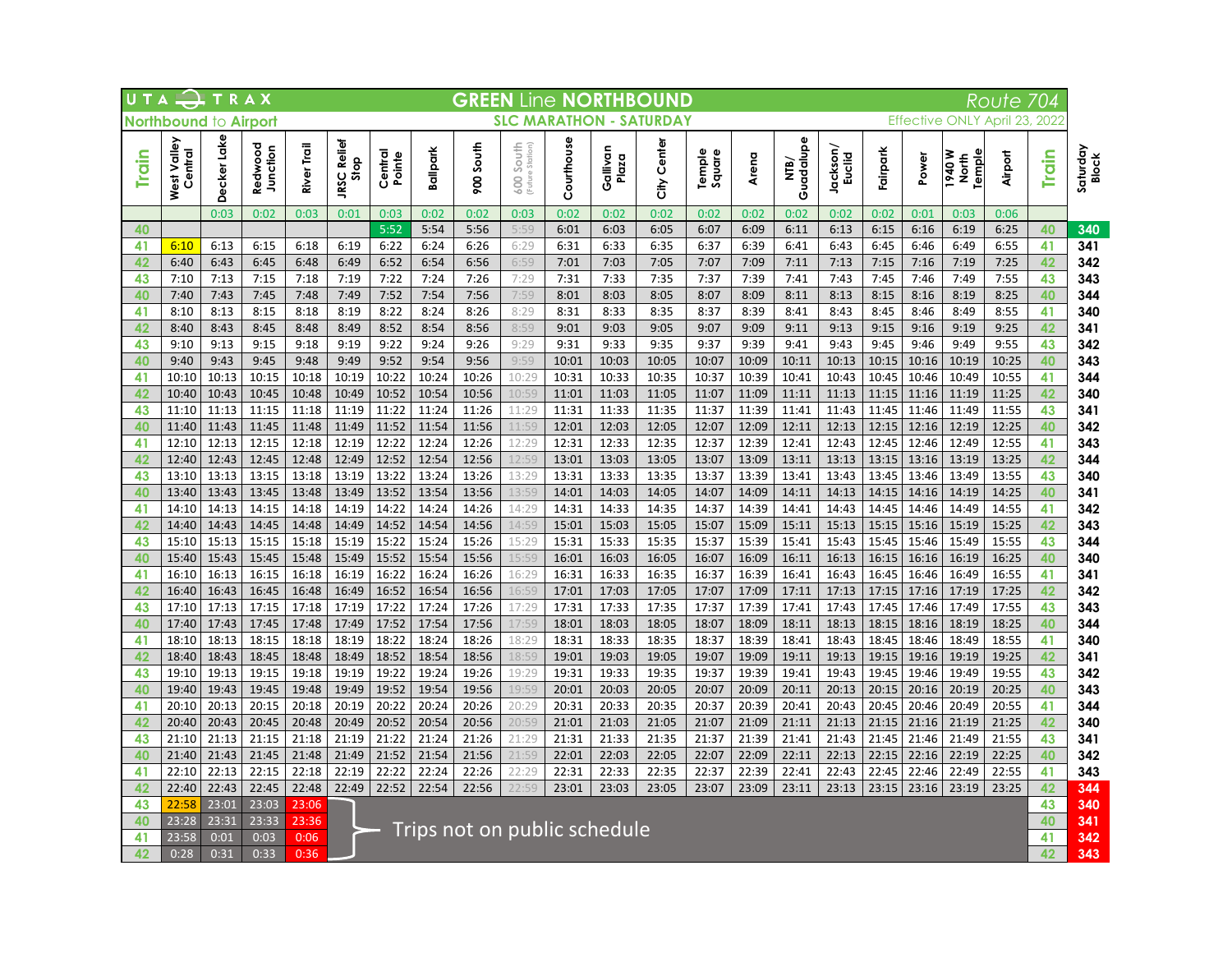|              |                        |                |                     |                | UTA TRAX<br><b>GREEN Line NORTHBOUND</b><br>Route 704<br><b>SLC MARATHON - SATURDAY</b><br>Northbound to Airport<br>Effective ONLY April 23, 2022 |                   |                |                |                |                |                              |                |                  |                |                   |                           |                |                |                                  |                |          |                   |
|--------------|------------------------|----------------|---------------------|----------------|---------------------------------------------------------------------------------------------------------------------------------------------------|-------------------|----------------|----------------|----------------|----------------|------------------------------|----------------|------------------|----------------|-------------------|---------------------------|----------------|----------------|----------------------------------|----------------|----------|-------------------|
|              |                        |                |                     |                |                                                                                                                                                   |                   |                |                |                |                |                              |                |                  |                |                   |                           |                |                |                                  |                |          |                   |
| <b>Train</b> | West Valley<br>Central | Decker Lake    | Redwood<br>Junction | River Trail    | Relief<br>JRSC Rel<br>Stop                                                                                                                        | Central<br>Pointe | Ballpark       | South<br>86    | 600 South      | Courthouse     | Gallivan<br>Plaza            | City Center    | Temple<br>Square | Arena          | Guadalupe<br>NTB) | Jackson/<br><b>Euclid</b> | Fairpark       | Power          | lemple<br>M 076<br>$\frac{1}{2}$ | Airport        | Train    | Saturday<br>Block |
|              |                        | 0:03           | 0:02                | 0:03           | 0:01                                                                                                                                              | 0:03              | 0:02           | 0:02           | 0:03           | 0:02           | 0:02                         | 0:02           | 0:02             | 0:02           | 0:02              | 0:02                      | 0:02           | 0:01           | 0:03                             | 0:06           |          |                   |
| 40           |                        |                |                     |                |                                                                                                                                                   | 5:52              | 5:54           | 5:56           | 5:59           | 6:01           | 6:03                         | 6:05           | 6:07             | 6:09           | 6:11              | 6:13                      | 6:15           | 6:16           | 6:19                             | 6:25           | 40       | 340               |
| 41           | 6:10                   | 6:13           | 6:15                | 6:18           | 6:19                                                                                                                                              | 6:22              | 6:24           | 6:26           | 6:29           | 6:31           | 6:33                         | 6:35           | 6:37             | 6:39           | 6:41              | 6:43                      | 6:45           | 6:46           | 6:49                             | 6:55           | 41       | 341               |
| 42           | 6:40                   | 6:43           | 6:45                | 6:48           | 6:49                                                                                                                                              | 6:52              | 6:54           | 6:56           | 6:59           | 7:01           | 7:03                         | 7:05           | 7:07             | 7:09           | 7:11              | 7:13                      | 7:15           | 7:16           | 7:19                             | 7:25           | 42       | 342               |
| 43           | 7:10<br>7:40           | 7:13<br>7:43   | 7:15                | 7:18           | 7:19                                                                                                                                              | 7:22<br>7:52      | 7:24<br>7:54   | 7:26<br>7:56   | 7:29<br>7:59   | 7:31<br>8:01   | 7:33                         | 7:35<br>8:05   | 7:37             | 7:39           | 7:41              | 7:43                      | 7:45<br>8:15   | 7:46<br>8:16   | 7:49                             | 7:55           | 43<br>40 | 343               |
| 40<br>41     | 8:10                   | 8:13           | 7:45<br>8:15        | 7:48<br>8:18   | 7:49<br>8:19                                                                                                                                      | 8:22              | 8:24           | 8:26           | 8:29           | 8:31           | 8:03<br>8:33                 | 8:35           | 8:07<br>8:37     | 8:09<br>8:39   | 8:11<br>8:41      | 8:13<br>8:43              | 8:45           | 8:46           | 8:19<br>8:49                     | 8:25<br>8:55   | 41       | 344<br>340        |
| 42           | 8:40                   | 8:43           | 8:45                | 8:48           | 8:49                                                                                                                                              | 8:52              | 8:54           | 8:56           | 8:59           | 9:01           | 9:03                         | 9:05           | 9:07             | 9:09           | 9:11              | 9:13                      | 9:15           | 9:16           | 9:19                             | 9:25           | 42       | 341               |
| 43           | 9:10                   | 9:13           | 9:15                | 9:18           | 9:19                                                                                                                                              | 9:22              | 9:24           | 9:26           | 9:29           | 9:31           | 9:33                         | 9:35           | 9:37             | 9:39           | 9:41              | 9:43                      | 9:45           | 9:46           | 9:49                             | 9:55           | 43       | 342               |
| 40           | 9:40                   | 9:43           | 9:45                | 9:48           | 9:49                                                                                                                                              | 9:52              | 9:54           | 9:56           | 9:59           | 10:01          | 10:03                        | 10:05          | 10:07            | 10:09          | 10:11             | 10:13                     | 10:15          | 10:16          | 10:19                            | 10:25          | 40       | 343               |
| 41           | 10:10                  | 10:13          | 10:15               | 10:18          | 10:19                                                                                                                                             | 10:22             | 10:24          | 10:26          | 10:29          | 10:31          | 10:33                        | 10:35          | 10:37            | 10:39          | 10:41             | 10:43                     | 10:45          | 10:46          | 10:49                            | 10:55          | 41       | 344               |
| 42           | 10:40                  | 10:43          | 10:45               | 10:48          | 10:49                                                                                                                                             | 10:52             | 10:54          | 10:56          | 10:59          | 11:01          | 11:03                        | 11:05          | 11:07            | 11:09          | 11:11             | 11:13                     | 11:15          | 11:16          | 11:19                            | 11:25          | 42       | 340               |
| 43           | 11:10                  | 11:13          | 11:15               | 11:18          | 11:19                                                                                                                                             | 11:22             | 11:24          | 11:26          | 11:29          | 11:31          | 11:33                        | 11:35          | 11:37            | 11:39          | 11:41             | 11:43                     | 11:45          | 11:46          | 11:49                            | 11:55          | 43       | 341               |
| 40           | 11:40                  | 11:43          | 11:45               | 11:48          | 11:49                                                                                                                                             | 11:52             | 11:54          | 11:56          | 11:59          | 12:01          | 12:03                        | 12:05          | 12:07            | 12:09          | 12:11             | 12:13                     | 12:15          | 12:16          | 12:19                            | 12:25          | 40       | 342               |
| 41           | 12:10                  | 12:13          | 12:15               | 12:18          | 12:19                                                                                                                                             | 12:22             | 12:24          | 12:26          | 12:29          | 12:31          | 12:33                        | 12:35          | 12:37            | 12:39          | 12:41             | 12:43                     | 12:45          | 12:46          | 12:49                            | 12:55          | 41       | 343               |
| 42           | 12:40                  | 12:43          | 12:45               | 12:48          | 12:49                                                                                                                                             | 12:52             | 12:54          | 12:56          | 12:59          | 13:01          | 13:03                        | 13:05          | 13:07            | 13:09          | 13:11             | 13:13                     | 13:15          | 13:16          | 13:19                            | 13:25          | 42       | 344               |
| 43           | 13:10                  | 13:13          | 13:15               | 13:18          | 13:19                                                                                                                                             | 13:22             | 13:24          | 13:26          | 13:29          | 13:31          | 13:33                        | 13:35          | 13:37            | 13:39          | 13:41             | 13:43                     | 13:45          | 13:46          | 13:49                            | 13:55          | 43       | 340               |
| 40           | 13:40                  | 13:43          | 13:45               | 13:48          | 13:49                                                                                                                                             | 13:52             | 13:54          | 13:56          | 13:59          | 14:01          | 14:03                        | 14:05          | 14:07            | 14:09          | 14:11             | 14:13                     | 14:15          | 14:16          | 14:19                            | 14:25          | 40       | 341               |
| 41           | 14:10                  | 14:13          | 14:15               | 14:18          | 14:19                                                                                                                                             | 14:22             | 14:24          | 14:26          | 14:29          | 14:31          | 14:33                        | 14:35          | 14:37            | 14:39          | 14:41             | 14:43                     | 14:45          | 14:46          | 14:49                            | 14:55          | 41<br>42 | 342               |
| 42<br>43     | 14:40<br>15:10         | 14:43<br>15:13 | 14:45<br>15:15      | 14:48<br>15:18 | 14:49<br>15:19                                                                                                                                    | 14:52<br>15:22    | 14:54<br>15:24 | 14:56<br>15:26 | 14:59<br>15:29 | 15:01<br>15:31 | 15:03<br>15:33               | 15:05<br>15:35 | 15:07<br>15:37   | 15:09<br>15:39 | 15:11<br>15:41    | 15:13<br>15:43            | 15:15<br>15:45 | 15:16<br>15:46 | 15:19<br>15:49                   | 15:25<br>15:55 | 43       | 343<br>344        |
| 40           | 15:40                  | 15:43          | 15:45               | 15:48          | 15:49                                                                                                                                             | 15:52             | 15:54          | 15:56          | 15:59          | 16:01          | 16:03                        | 16:05          | 16:07            | 16:09          | 16:11             | 16:13                     | 16:15          | 16:16          | 16:19                            | 16:25          | 40       | 340               |
| 41           | 16:10                  | 16:13          | 16:15               | 16:18          | 16:19                                                                                                                                             | 16:22             | 16:24          | 16:26          | 16:29          | 16:31          | 16:33                        | 16:35          | 16:37            | 16:39          | 16:41             | 16:43                     | 16:45          | 16:46          | 16:49                            | 16:55          | 41       | 341               |
| 42           | 16:40                  | 16:43          | 16:45               | 16:48          | 16:49                                                                                                                                             | 16:52             | 16:54          | 16:56          | 16:59          | 17:01          | 17:03                        | 17:05          | 17:07            | 17:09          | 17:11             | 17:13                     | 17:15          | 17:16          | 17:19                            | 17:25          | 42       | 342               |
| 43           | 17:10                  | 17:13          | 17:15               | 17:18          | 17:19                                                                                                                                             | 17:22             | 17:24          | 17:26          | 17:29          | 17:31          | 17:33                        | 17:35          | 17:37            | 17:39          | 17:41             | 17:43                     | 17:45          | 17:46          | 17:49                            | 17:55          | 43       | 343               |
| 40           | 17:40                  | 17:43          | 17:45               | 17:48          | 17:49                                                                                                                                             | 17:52             | 17:54          | 17:56          | 17:59          | 18:01          | 18:03                        | 18:05          | 18:07            | 18:09          | 18:11             | 18:13                     | 18:15          | 18:16          | 18:19                            | 18:25          | 40       | 344               |
| 41           | 18:10                  | 18:13          | 18:15               | 18:18          | 18:19                                                                                                                                             | 18:22             | 18:24          | 18:26          | 18:29          | 18:31          | 18:33                        | 18:35          | 18:37            | 18:39          | 18:41             | 18:43                     | 18:45          | 18:46          | 18:49                            | 18:55          | 41       | 340               |
| 42           | 18:40                  | 18:43          | 18:45               | 18:48          | 18:49                                                                                                                                             | 18:52             | 18:54          | 18:56          | 18:59          | 19:01          | 19:03                        | 19:05          | 19:07            | 19:09          | 19:11             | 19:13                     | 19:15          | 19:16          | 19:19                            | 19:25          | 42       | 341               |
| 43           | 19:10                  | 19:13          | 19:15               | 19:18          | 19:19                                                                                                                                             | 19:22             | 19:24          | 19:26          | 19:29          | 19:31          | 19:33                        | 19:35          | 19:37            | 19:39          | 19:41             | 19:43                     | 19:45          | 19:46          | 19:49                            | 19:55          | 43       | 342               |
| 40           | 19:40                  | 19:43          | 19:45               | 19:48          | 19:49                                                                                                                                             | 19:52             | 19:54          | 19:56          | 19:59          | 20:01          | 20:03                        | 20:05          | 20:07            | 20:09          | 20:11             | 20:13                     | 20:15          | 20:16          | 20:19                            | 20:25          | 40       | 343               |
| 41           | 20:10                  | 20:13          | 20:15               | 20:18          | 20:19                                                                                                                                             | 20:22             | 20:24          | 20:26          | 20:29          | 20:31          | 20:33                        | 20:35          | 20:37            | 20:39          | 20:41             | 20:43                     | 20:45          | 20:46          | 20:49                            | 20:55          | 41       | 344               |
| 42           | 20:40                  | 20:43<br>21:13 | 20:45               | 20:48          | 20:49<br>21:19                                                                                                                                    | 20:52<br>21:22    | 20:54<br>21:24 | 20:56          | 20:59          | 21:01          | 21:03                        | 21:05          | 21:07            | 21:09<br>21:39 | 21:11             | 21:13                     | 21:15          | 21:16          | 21:19                            | 21:25<br>21:55 | 42<br>43 | 340               |
| 43<br>40     | 21:10<br>21:40         | 21:43          | 21:15<br>21:45      | 21:18<br>21:48 | 21:49                                                                                                                                             | 21:52             | 21:54          | 21:26<br>21:56 | 21:29<br>21:59 | 21:31<br>22:01 | 21:33<br>22:03               | 21:35<br>22:05 | 21:37<br>22:07   | 22:09          | 21:41<br>22:11    | 21:43<br>22:13            | 21:45<br>22:15 | 21:46<br>22:16 | 21:49<br>22:19                   | 22:25          | 40       | 341<br>342        |
| 41           | 22:10                  | 22:13          | 22:15               | 22:18          | 22:19                                                                                                                                             | 22:22             | 22:24          | 22:26          | 22:29          | 22:31          | 22:33                        | 22:35          | 22:37            | 22:39          | 22:41             | 22:43                     | 22:45          | 22:46          | 22:49                            | 22:55          | 41       | 343               |
| 42           | 22:40                  | 22:43          | 22:45               | 22:48          | 22:49                                                                                                                                             | 22:52             | 22:54          | 22:56          | 22:59          | 23:01          | 23:03                        | 23:05          | 23:07            | 23:09          | 23:11             | 23:13                     | 23:15          | 23:16          | 23:19                            | 23:25          | 42       | 344               |
| 43           | 22:58                  | 23:01          | 23:03               | 23:06          |                                                                                                                                                   |                   |                |                |                |                |                              |                |                  |                |                   |                           |                |                |                                  |                | 43       | 340               |
| 40           | 23:28                  | 23:31          | 23:33               | 23:36          |                                                                                                                                                   |                   |                |                |                |                |                              |                |                  |                |                   |                           |                |                |                                  |                | 40       | 341               |
| 41           | 23:58                  | 0:01           | 0:03                | 0:06           |                                                                                                                                                   |                   |                |                |                |                | Trips not on public schedule |                |                  |                |                   |                           |                |                |                                  |                | 41       | 342               |
| 42           | 0:28                   | 0:31           | 0:33                | 0:36           |                                                                                                                                                   |                   |                |                |                |                |                              |                |                  |                |                   |                           |                |                |                                  |                | 42       | 343               |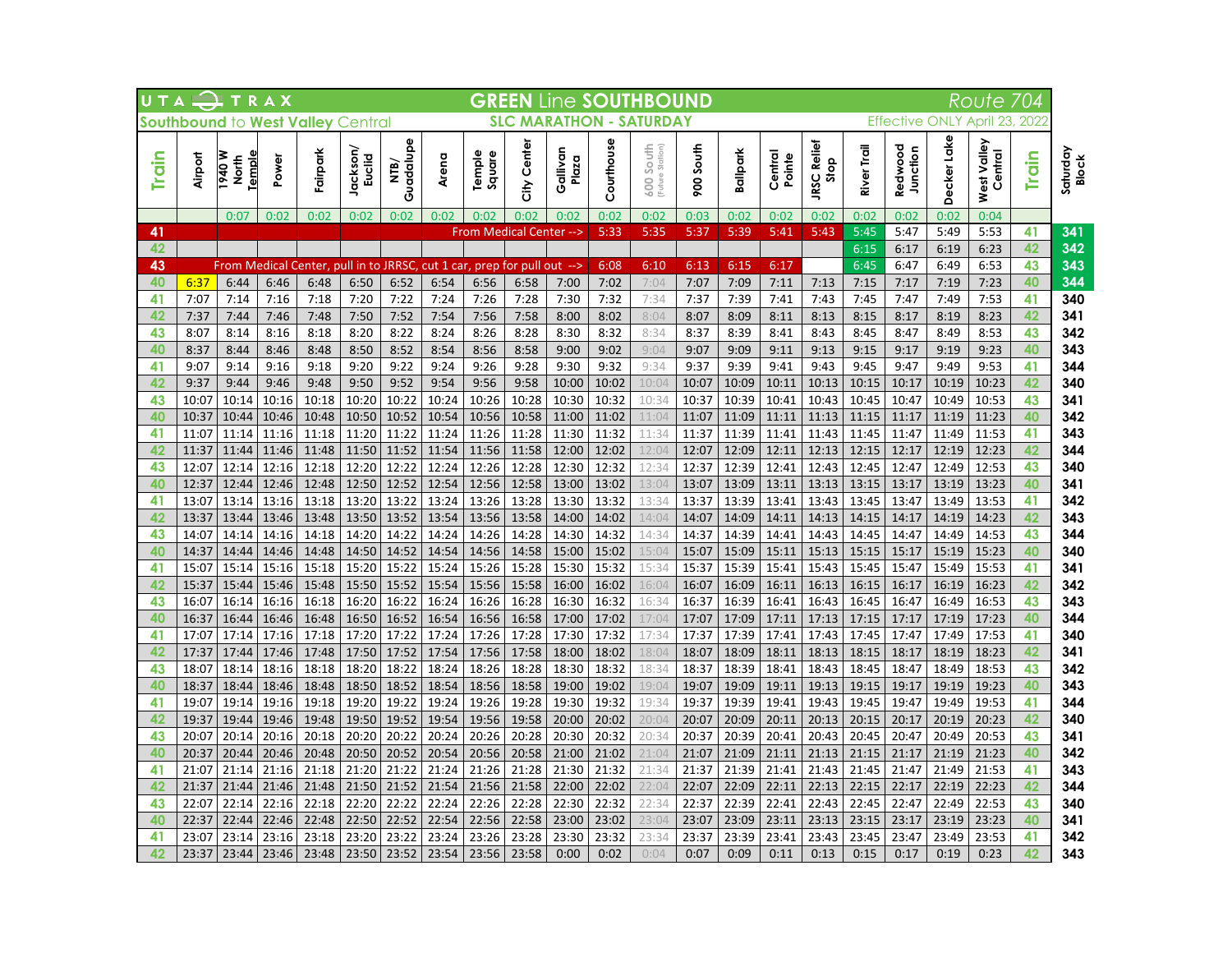| UTA          |         | $P$ T R A X              |       |                                   |                    |                   |                                  |                         |             |                   |            | <b>GREEN Line SOUTHBOUND</b>     |           |          |                   |                            |             |                       |             | Route                  | 704   |                          |
|--------------|---------|--------------------------|-------|-----------------------------------|--------------------|-------------------|----------------------------------|-------------------------|-------------|-------------------|------------|----------------------------------|-----------|----------|-------------------|----------------------------|-------------|-----------------------|-------------|------------------------|-------|--------------------------|
|              |         |                          |       | Southbound to West Valley Central |                    |                   |                                  |                         |             |                   |            | <b>SLC MARATHON - SATURDAY</b>   |           |          |                   |                            |             | <b>Effective ONLY</b> |             | April 23, 2022         |       |                          |
| <b>Train</b> | Airport | iemple<br>M 076<br>North | Power | Fairpark                          | Jackson/<br>Euclid | Guadalupe<br>NTB/ | Arena                            | lemple<br>Square        | City Center | Gallivan<br>Plaza | Courthouse | South<br>(Future Station)<br>600 | 900 South | Ballpark | Central<br>Pointe | <b>JRSC Relief</b><br>Stop | River Trail | Redwood<br>Junction   | Decker Lake | West Valley<br>Central | Train | Saturday<br><b>Block</b> |
|              |         | 0:07                     | 0:02  | 0:02                              | 0:02               | 0:02              | 0:02                             | 0:02                    | 0:02        | 0:02              | 0:02       | 0:02                             | 0:03      | 0:02     | 0:02              | 0:02                       | 0:02        | 0:02                  | 0:02        | 0:04                   |       |                          |
| 41           |         |                          |       |                                   |                    |                   |                                  | From Medical Center --> |             |                   | 5:33       | 5:35                             | 5:37      | 5:39     | 5:41              | 5:43                       | 5:45        | 5:47                  | 5:49        | 5:53                   | 41    | 341                      |
| 42           |         |                          |       |                                   |                    |                   |                                  |                         |             |                   |            |                                  |           |          |                   |                            | 6:15        | 6:17                  | 6:19        | 6:23                   | 42    | 342                      |
| 43           |         | From Medical             |       | Center, pull in to JRRSC,         |                    |                   | cut 1 car, prep for pull out --> |                         |             |                   | 6:08       | 6:10                             | 6:13      | 6:15     | 6:17              |                            | 6:45        | 6:47                  | 6:49        | 6:53                   | 43    | 343                      |
| 40           | 6:37    | 6:44                     | 6:46  | 6:48                              | 6:50               | 6:52              | 6:54                             | 6:56                    | 6:58        | 7:00              | 7:02       | 7:04                             | 7:07      | 7:09     | 7:11              | 7:13                       | 7:15        | 7:17                  | 7:19        | 7:23                   | 40    | 344                      |
| 41           | 7:07    | 7:14                     | 7:16  | 7:18                              | 7:20               | 7:22              | 7:24                             | 7:26                    | 7:28        | 7:30              | 7:32       | 7:34                             | 7:37      | 7:39     | 7:41              | 7:43                       | 7:45        | 7:47                  | 7:49        | 7:53                   | 41    | 340                      |
| 42           | 7:37    | 7:44                     | 7:46  | 7:48                              | 7:50               | 7:52              | 7:54                             | 7:56                    | 7:58        | 8:00              | 8:02       | 8:04                             | 8:07      | 8:09     | 8:11              | 8:13                       | 8:15        | 8:17                  | 8:19        | 8:23                   | 42    | 341                      |
| 43           | 8:07    | 8:14                     | 8:16  | 8:18                              | 8:20               | 8:22              | 8:24                             | 8:26                    | 8:28        | 8:30              | 8:32       | 8:34                             | 8:37      | 8:39     | 8:41              | 8:43                       | 8:45        | 8:47                  | 8:49        | 8:53                   | 43    | 342                      |
| 40           | 8:37    | 8:44                     | 8:46  | 8:48                              | 8:50               | 8:52              | 8:54                             | 8:56                    | 8:58        | 9:00              | 9:02       | 9:04                             | 9:07      | 9:09     | 9:11              | 9:13                       | 9:15        | 9:17                  | 9:19        | 9:23                   | 40    | 343                      |
| 41           | 9:07    | 9:14                     | 9:16  | 9:18                              | 9:20               | 9:22              | 9:24                             | 9:26                    | 9:28        | 9:30              | 9:32       | 9:34                             | 9:37      | 9:39     | 9:41              | 9:43                       | 9:45        | 9:47                  | 9:49        | 9:53                   | 41    | 344                      |
| 42           | 9:37    | 9:44                     | 9:46  | 9:48                              | 9:50               | 9:52              | 9:54                             | 9:56                    | 9:58        | 10:00             | 10:02      | 10:04                            | 10:07     | 10:09    | 10:11             | 10:13                      | 10:15       | 10:17                 | 10:19       | 10:23                  | 42    | 340                      |
| 43           | 10:07   | 10:14                    | 10:16 | 10:18                             | 10:20              | 10:22             | 10:24                            | 10:26                   | 10:28       | 10:30             | 10:32      | 10:34                            | 10:37     | 10:39    | 10:41             | 10:43                      | 10:45       | 10:47                 | 10:49       | 10:53                  | 43    | 341                      |
| 40           | 10:37   | 10:44                    | 10:46 | 10:48                             | 10:50              | 10:52             | 10:54                            | 10:56                   | 10:58       | 11:00             | 11:02      | 11:04                            | 11:07     | 11:09    | 11:11             | 11:13                      | 11:15       | 11:17                 | 11:19       | 11:23                  | 40    | 342                      |
| 41           | 11:07   | 11:14                    | 11:16 | 11:18                             | 11:20              | 11:22             | 11:24                            | 11:26                   | 11:28       | 11:30             | 11:32      | 11:34                            | 11:37     | 11:39    | 11:41             | 11:43                      | 11:45       | 11:47                 | 11:49       | 11:53                  | 41    | 343                      |
| 42           | 11:37   | 11:44                    | 11:46 | 11:48                             | 11:50              | 11:52             | 11:54                            | 11:56                   | 11:58       | 12:00             | 12:02      | 12:04                            | 12:07     | 12:09    | 12:11             | 12:13                      | 12:15       | 12:17                 | 12:19       | 12:23                  | 42    | 344                      |
| 43           | 12:07   | 12:14                    | 12:16 | 12:18                             | 12:20              | 12:22             | 12:24                            | 12:26                   | 12:28       | 12:30             | 12:32      | 12:34                            | 12:37     | 12:39    | 12:41             | 12:43                      | 12:45       | 12:47                 | 12:49       | 12:53                  | 43    | 340                      |
| 40           | 12:37   | 12:44                    | 12:46 | 12:48                             | 12:50              | 12:52             | 12:54                            | 12:56                   | 12:58       | 13:00             | 13:02      | 13:04                            | 13:07     | 13:09    | 13:11             | 13:13                      | 13:15       | 13:17                 | 13:19       | 13:23                  | 40    | 341                      |
| 41           | 13:07   | 13:14                    | 13:16 | 13:18                             | 13:20              | 13:22             | 13:24                            | 13:26                   | 13:28       | 13:30             | 13:32      | 13:34                            | 13:37     | 13:39    | 13:41             | 13:43                      | 13:45       | 13:47                 | 13:49       | 13:53                  | 41    | 342                      |
| 42           | 13:37   | 13:44                    | 13:46 | 13:48                             | 13:50              | 13:52             | 13:54                            | 13:56                   | 13:58       | 14:00             | 14:02      | 14:04                            | 14:07     | 14:09    | 14:11             | 14:13                      | 14:15       | 14:17                 | 14:19       | 14:23                  | 42    | 343                      |
| 43           | 14:07   | 14:14                    | 14:16 | 14:18                             | 14:20              | 14:22             | 14:24                            | 14:26                   | 14:28       | 14:30             | 14:32      | 14:34                            | 14:37     | 14:39    | 14:41             | 14:43                      | 14:45       | 14:47                 | 14:49       | 14:53                  | 43    | 344                      |
| 40           | 14:37   | 14:44                    | 14:46 | 14:48                             | 14:50              | 14:52             | 14:54                            | 14:56                   | 14:58       | 15:00             | 15:02      | 15:04                            | 15:07     | 15:09    | 15:11             | 15:13                      | 15:15       | 15:17                 | 15:19       | 15:23                  | 40    | 340                      |
| 41           | 15:07   | 15:14                    | 15:16 | 15:18                             | 15:20              | 15:22             | 15:24                            | 15:26                   | 15:28       | 15:30             | 15:32      | 15:34                            | 15:37     | 15:39    | 15:41             | 15:43                      | 15:45       | 15:47                 | 15:49       | 15:53                  | 41    | 341                      |
| 42           | 15:37   | 15:44                    | 15:46 | 15:48                             | 15:50              | 15:52             | 15:54                            | 15:56                   | 15:58       | 16:00             | 16:02      | 16:04                            | 16:07     | 16:09    | 16:11             | 16:13                      | 16:15       | 16:17                 | 16:19       | 16:23                  | 42    | 342                      |
| 43           | 16:07   | 16:14                    | 16:16 | 16:18                             | 16:20              | 16:22             | 16:24                            | 16:26                   | 16:28       | 16:30             | 16:32      | 16:34                            | 16:37     | 16:39    | 16:41             | 16:43                      | 16:45       | 16:47                 | 16:49       | 16:53                  | 43    | 343                      |
| 40           | 16:37   | 16:44                    | 16:46 | 16:48                             | 16:50              | 16:52             | 16:54                            | 16:56                   | 16:58       | 17:00             | 17:02      | 17:04                            | 17:07     | 17:09    | 17:11             | 17:13                      | 17:15       | 17:17                 | 17:19       | 17:23                  | 40    | 344                      |
| 41           | 17:07   | 17:14                    | 17:16 | 17:18                             | 17:20              | 17:22             | 17:24                            | 17:26                   | 17:28       | 17:30             | 17:32      | 17:34                            | 17:37     | 17:39    | 17:41             | 17:43                      | 17:45       | 17:47                 | 17:49       | 17:53                  | 41    | 340                      |
| 42           | 17:37   | 17:44                    | 17:46 | 17:48                             | 17:50              | 17:52             | 17:54                            | 17:56                   | 17:58       | 18:00             | 18:02      | 18:04                            | 18:07     | 18:09    | 18:11             | 18:13                      | 18:15       | 18:17                 | 18:19       | 18:23                  | 42    | 341                      |
| 43           | 18:07   | 18:14                    | 18:16 | 18:18                             | 18:20              | 18:22             | 18:24                            | 18:26                   | 18:28       | 18:30             | 18:32      | 18:34                            | 18:37     | 18:39    | 18:41             | 18:43                      | 18:45       | 18:47                 | 18:49       | 18:53                  | 43    | 342                      |
| 40           | 18:37   | 18:44                    | 18:46 | 18:48                             | 18:50              | 18:52             | 18:54                            | 18:56                   | 18:58       | 19:00             | 19:02      | 19:04                            | 19:07     | 19:09    | 19:11             | 19:13                      | 19:15       | 19:17                 | 19:19       | 19:23                  | 40    | 343                      |
| 41           | 19:07   | 19:14                    | 19:16 | 19:18                             | 19:20              | 19:22             | 19:24                            | 19:26                   | 19:28       | 19:30             | 19:32      | 19:34                            | 19:37     | 19:39    | 19:41             | 19:43                      | 19:45       | 19:47                 | 19:49       | 19:53                  | 41    | 344                      |
| 42           | 19:37   | 19:44                    | 19:46 | 19:48                             | 19:50              | 19:52             | 19:54                            | 19:56                   | 19:58       | 20:00             | 20:02      | 20:04                            | 20:07     | 20:09    | 20:11             | 20:13                      | 20:15       | 20:17                 | 20:19       | 20:23                  | 42    | 340                      |
| 43           | 20:07   | 20:14                    | 20:16 | 20:18                             | 20:20              | 20:22             | 20:24                            | 20:26                   | 20:28       | 20:30             | 20:32      | 20:34                            | 20:37     | 20:39    | 20:41             | 20:43                      | 20:45       | 20:47                 | 20:49       | 20:53                  | 43    | 341                      |
| 40           | 20:37   | 20:44                    | 20:46 | 20:48                             | 20:50              | 20:52             | 20:54                            | 20:56                   | 20:58       | 21:00             | 21:02      | 21:04                            | 21:07     | 21:09    | 21:11             | 21:13                      | 21:15       | 21:17                 | 21:19       | 21:23                  | 40    | 342                      |
| 41           | 21:07   | 21:14                    | 21:16 | 21:18                             | 21:20              | 21:22             | 21:24                            | 21:26                   | 21:28       | 21:30             | 21:32      | 21:34                            | 21:37     | 21:39    | 21:41             | 21:43                      | 21:45       | 21:47                 | 21:49       | 21:53                  | 41    | 343                      |
| 42           | 21:37   | 21:44                    | 21:46 | 21:48                             | 21:50              | 21:52             | 21:54                            | 21:56                   | 21:58       | 22:00             | 22:02      | 22:04                            | 22:07     | 22:09    | 22:11             | 22:13                      | 22:15       | 22:17                 | 22:19       | 22:23                  | 42    | 344                      |
| 43           | 22:07   | 22:14                    | 22:16 | 22:18                             | 22:20              | 22:22             | 22:24                            | 22:26                   | 22:28       | 22:30             | 22:32      | 22:34                            | 22:37     | 22:39    | 22:41             | 22:43                      | 22:45       | 22:47                 | 22:49       | 22:53                  | 43    | 340                      |
| 40           | 22:37   | 22:44                    | 22:46 | 22:48                             | 22:50              | 22:52             | 22:54                            | 22:56                   | 22:58       | 23:00             | 23:02      | 23:04                            | 23:07     | 23:09    | 23:11             | 23:13                      | 23:15       | 23:17                 | 23:19       | 23:23                  | 40    | 341                      |
| 41           | 23:07   | 23:14                    | 23:16 | 23:18                             | 23:20              | 23:22             | 23:24                            | 23:26                   | 23:28       | 23:30             | 23:32      | 23:34                            | 23:37     | 23:39    | 23:41             | 23:43                      | 23:45       | 23:47                 | 23:49       | 23:53                  | 41    | 342                      |
| 42           | 23:37   | 23:44                    | 23:46 | 23:48                             | 23:50              | 23:52             | 23:54                            | 23:56                   | 23:58       | 0:00              | 0:02       | 0:04                             | 0:07      | 0:09     | 0:11              | 0:13                       | 0:15        | 0:17                  | 0:19        | 0:23                   | 42    | 343                      |